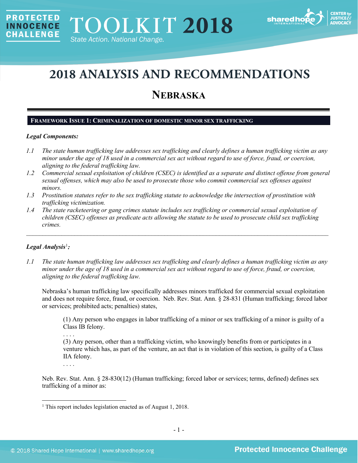

# **2018 ANALYSIS AND RECOMMENDATIONS**

# **NEBRASKA**

# **FRAMEWORK ISSUE 1: CRIMINALIZATION OF DOMESTIC MINOR SEX TRAFFICKING**

## *Legal Components:*

**PROTECTED** 

**INNOCENCE CHALLENGE** 

- *1.1 The state human trafficking law addresses sex trafficking and clearly defines a human trafficking victim as any minor under the age of 18 used in a commercial sex act without regard to use of force, fraud, or coercion, aligning to the federal trafficking law.*
- *1.2 Commercial sexual exploitation of children (CSEC) is identified as a separate and distinct offense from general sexual offenses, which may also be used to prosecute those who commit commercial sex offenses against minors.*
- *1.3 Prostitution statutes refer to the sex trafficking statute to acknowledge the intersection of prostitution with trafficking victimization.*
- *1.4 The state racketeering or gang crimes statute includes sex trafficking or commercial sexual exploitation of children (CSEC) offenses as predicate acts allowing the statute to be used to prosecute child sex trafficking crimes.*

\_\_\_\_\_\_\_\_\_\_\_\_\_\_\_\_\_\_\_\_\_\_\_\_\_\_\_\_\_\_\_\_\_\_\_\_\_\_\_\_\_\_\_\_\_\_\_\_\_\_\_\_\_\_\_\_\_\_\_\_\_\_\_\_\_\_\_\_\_\_\_\_\_\_\_\_\_\_\_\_\_\_\_\_\_\_\_\_\_\_\_\_\_\_

# *Legal Analysis*[1](#page-0-0) *:*

*1.1 The state human trafficking law addresses sex trafficking and clearly defines a human trafficking victim as any minor under the age of 18 used in a commercial sex act without regard to use of force, fraud, or coercion, aligning to the federal trafficking law.*

Nebraska's human trafficking law specifically addresses minors trafficked for commercial sexual exploitation and does not require force, fraud, or coercion. Neb. Rev. Stat. Ann. § 28-831 (Human trafficking; forced labor or services; prohibited acts; penalties) states,

(1) Any person who engages in labor trafficking of a minor or sex trafficking of a minor is guilty of a Class IB felony.

. . . . (3) Any person, other than a trafficking victim, who knowingly benefits from or participates in a venture which has, as part of the venture, an act that is in violation of this section, is guilty of a Class IIA felony.

. . . .

l

Neb. Rev. Stat. Ann. § 28-830(12) (Human trafficking; forced labor or services; terms, defined) defines sex trafficking of a minor as:

<span id="page-0-0"></span><sup>1</sup> This report includes legislation enacted as of August 1, 2018.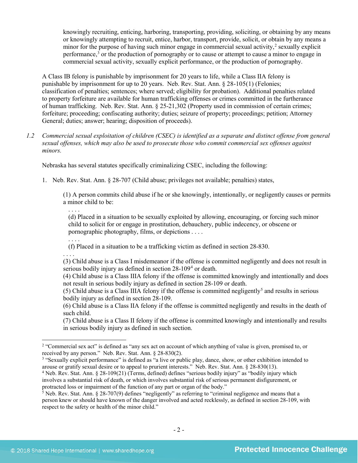knowingly recruiting, enticing, harboring, transporting, providing, soliciting, or obtaining by any means or knowingly attempting to recruit, entice, harbor, transport, provide, solicit, or obtain by any means a minor for the purpose of having such minor engage in commercial sexual activity, $\frac{2}{3}$  $\frac{2}{3}$  $\frac{2}{3}$  sexually explicit performance,[3](#page-1-1) or the production of pornography or to cause or attempt to cause a minor to engage in commercial sexual activity, sexually explicit performance, or the production of pornography.

A Class IB felony is punishable by imprisonment for 20 years to life, while a Class IIA felony is punishable by imprisonment for up to 20 years. Neb. Rev. Stat. Ann. § 28-105(1) (Felonies; classification of penalties; sentences; where served; eligibility for probation). Additional penalties related to property forfeiture are available for human trafficking offenses or crimes committed in the furtherance of human trafficking. Neb. Rev. Stat. Ann. § 25-21,302 (Property used in commission of certain crimes; forfeiture; proceeding; confiscating authority; duties; seizure of property; proceedings; petition; Attorney General; duties; answer; hearing; disposition of proceeds).

*1.2 Commercial sexual exploitation of children (CSEC) is identified as a separate and distinct offense from general sexual offenses, which may also be used to prosecute those who commit commercial sex offenses against minors.*

Nebraska has several statutes specifically criminalizing CSEC, including the following:

1. Neb. Rev. Stat. Ann. § 28-707 (Child abuse; privileges not available; penalties) states,

(1) A person commits child abuse if he or she knowingly, intentionally, or negligently causes or permits a minor child to be:

. . . . (d) Placed in a situation to be sexually exploited by allowing, encouraging, or forcing such minor child to solicit for or engage in prostitution, debauchery, public indecency, or obscene or pornographic photography, films, or depictions . . . .

(f) Placed in a situation to be a trafficking victim as defined in section 28-830.

. . . . (3) Child abuse is a Class I misdemeanor if the offense is committed negligently and does not result in serious bodily injury as defined in section 28-109<sup>[4](#page-1-2)</sup> or death.

(4) Child abuse is a Class IIIA felony if the offense is committed knowingly and intentionally and does not result in serious bodily injury as defined in section 28-109 or death.

([5](#page-1-3)) Child abuse is a Class IIIA felony if the offense is committed negligently<sup>5</sup> and results in serious bodily injury as defined in section 28-109.

(6) Child abuse is a Class IIA felony if the offense is committed negligently and results in the death of such child.

(7) Child abuse is a Class II felony if the offense is committed knowingly and intentionally and results in serious bodily injury as defined in such section.

. . . .

<span id="page-1-0"></span><sup>&</sup>lt;sup>2</sup> "Commercial sex act" is defined as "any sex act on account of which anything of value is given, promised to, or received by any person." Neb. Rev. Stat. Ann. § 28-830(2).

<span id="page-1-1"></span><sup>&</sup>lt;sup>3</sup> "Sexually explicit performance" is defined as "a live or public play, dance, show, or other exhibition intended to arouse or gratify sexual desire or to appeal to prurient interests." Neb. Rev. Stat. Ann. § 28-830(13).

<span id="page-1-2"></span><sup>&</sup>lt;sup>4</sup> Neb. Rev. Stat. Ann. § 28-109(21) (Terms, defined) defines "serious bodily injury" as "bodily injury which involves a substantial risk of death, or which involves substantial risk of serious permanent disfigurement, or protracted loss or impairment of the function of any part or organ of the body."<br>
<sup>5</sup> Neb. Rev. Stat. Ann. § 28-707(9) defines "negligently" as referring to "criminal negligence and means that a

<span id="page-1-3"></span>person knew or should have known of the danger involved and acted recklessly, as defined in section 28-109, with respect to the safety or health of the minor child."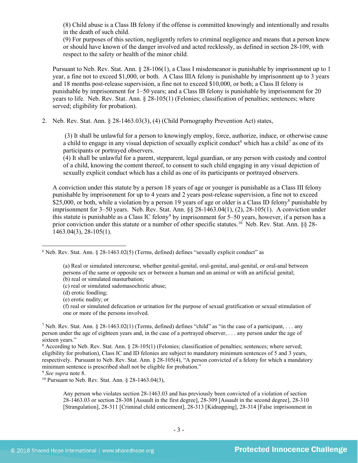(8) Child abuse is a Class IB felony if the offense is committed knowingly and intentionally and results in the death of such child.

(9) For purposes of this section, negligently refers to criminal negligence and means that a person knew or should have known of the danger involved and acted recklessly, as defined in section 28-109, with respect to the safety or health of the minor child.

Pursuant to Neb. Rev. Stat. Ann. § 28-106(1), a Class I misdemeanor is punishable by imprisonment up to 1 year, a fine not to exceed \$1,000, or both. A Class IIIA felony is punishable by imprisonment up to 3 years and 18 months post-release supervision, a fine not to exceed \$10,000, or both; a Class II felony is punishable by imprisonment for 1–50 years; and a Class IB felony is punishable by imprisonment for 20 years to life. Neb. Rev. Stat. Ann. § 28-105(1) (Felonies; classification of penalties; sentences; where served; eligibility for probation).

2. Neb. Rev. Stat. Ann. § 28-1463.03(3), (4) (Child Pornography Prevention Act) states,

<span id="page-2-7"></span><span id="page-2-6"></span>(3) It shall be unlawful for a person to knowingly employ, force, authorize, induce, or otherwise cause a child to engage in any visual depiction of sexually explicit conduct<sup>[6](#page-2-1)</sup> which has a child<sup>[7](#page-2-2)</sup> as one of its participants or portrayed observers.

<span id="page-2-0"></span>(4) It shall be unlawful for a parent, stepparent, legal guardian, or any person with custody and control of a child, knowing the content thereof, to consent to such child engaging in any visual depiction of sexually explicit conduct which has a child as one of its participants or portrayed observers.

A conviction under this statute by a person 18 years of age or younger is punishable as a Class III felony punishable by imprisonment for up to 4 years and 2 years post-release supervision, a fine not to exceed \$25,000, or both, while a violation by a person 19 years of age or older is a Class ID felony<sup>8</sup> punishable by imprisonment for 3–50 years. Neb. Rev. Stat. Ann. §§ 28-1463.04(1), (2), 28-105(1). A conviction under this statute is punishable as a Class IC felony<sup>[9](#page-2-4)</sup> by imprisonment for 5–50 years, however, if a person has a prior conviction under this statute or a number of other specific statutes.<sup>[10](#page-2-5)</sup> Neb. Rev. Stat. Ann. §§ 28-1463.04(3), 28-105(1).

(f) real or simulated defecation or urination for the purpose of sexual gratification or sexual stimulation of one or more of the persons involved.

<span id="page-2-4"></span>

 $\overline{\phantom{a}}$ 

<span id="page-2-5"></span><sup>10</sup> Pursuant to Neb. Rev. Stat. Ann. § 28-1463.04(3),

Any person who violates section 28-1463.03 and has previously been convicted of a violation of section 28-1463.03 or section 28-308 [Assault in the first degree], 28-309 [Assault in the second degree], 28-310 [Strangulation], 28-311 [Criminal child enticement], 28-313 [Kidnapping], 28-314 [False imprisonment in

<span id="page-2-1"></span> $6$  Neb. Rev. Stat. Ann.  $\S$  28-1463.02(5) (Terms, defined) defines "sexually explicit conduct" as

<sup>(</sup>a) Real or simulated intercourse, whether genital-genital, oral-genital, anal-genital, or oral-anal between persons of the same or opposite sex or between a human and an animal or with an artificial genital; (b) real or simulated masturbation;

<sup>(</sup>c) real or simulated sadomasochistic abuse;

<sup>(</sup>d) erotic fondling;

<sup>(</sup>e) erotic nudity; or

<span id="page-2-2"></span><sup>&</sup>lt;sup>7</sup> Neb. Rev. Stat. Ann. § 28-1463.02(1) (Terms, defined) defines "child" as "in the case of a participant, ... any person under the age of eighteen years and, in the case of a portrayed observer, . . . any person under the age of sixteen years."

<span id="page-2-3"></span><sup>&</sup>lt;sup>8</sup> According to Neb. Rev. Stat. Ann. § 28-105(1) (Felonies; classification of penalties; sentences; where served; eligibility for probation), Class IC and ID felonies are subject to mandatory minimum sentences of 5 and 3 years, respectively. Pursuant to Neb. Rev. Stat. Ann. § 28-105(4), "A person convicted of a felony for which a mandatory minimum sentence is prescribed shall not be eligible for probation."<br><sup>9</sup> See supra note 8.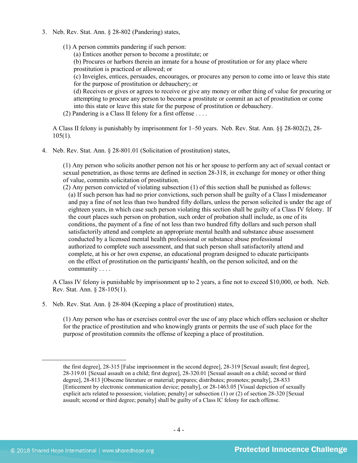- 3. Neb. Rev. Stat. Ann. § 28-802 (Pandering) states,
	- (1) A person commits pandering if such person:

(a) Entices another person to become a prostitute; or

(b) Procures or harbors therein an inmate for a house of prostitution or for any place where prostitution is practiced or allowed; or

(c) Inveigles, entices, persuades, encourages, or procures any person to come into or leave this state for the purpose of prostitution or debauchery; or

(d) Receives or gives or agrees to receive or give any money or other thing of value for procuring or attempting to procure any person to become a prostitute or commit an act of prostitution or come into this state or leave this state for the purpose of prostitution or debauchery.

(2) Pandering is a Class II felony for a first offense . . . .

A Class II felony is punishably by imprisonment for 1–50 years. Neb. Rev. Stat. Ann. §§ 28-802(2), 28-  $105(1)$ .

4. Neb. Rev. Stat. Ann. § 28-801.01 (Solicitation of prostitution) states,

(1) Any person who solicits another person not his or her spouse to perform any act of sexual contact or sexual penetration, as those terms are defined in section 28-318, in exchange for money or other thing of value, commits solicitation of prostitution.

(2) Any person convicted of violating subsection (1) of this section shall be punished as follows: (a) If such person has had no prior convictions, such person shall be guilty of a Class I misdemeanor and pay a fine of not less than two hundred fifty dollars, unless the person solicited is under the age of eighteen years, in which case such person violating this section shall be guilty of a Class IV felony. If the court places such person on probation, such order of probation shall include, as one of its conditions, the payment of a fine of not less than two hundred fifty dollars and such person shall satisfactorily attend and complete an appropriate mental health and substance abuse assessment conducted by a licensed mental health professional or substance abuse professional authorized to complete such assessment, and that such person shall satisfactorily attend and complete, at his or her own expense, an educational program designed to educate participants on the effect of prostitution on the participants' health, on the person solicited, and on the community . . . .

A Class IV felony is punishable by imprisonment up to 2 years, a fine not to exceed \$10,000, or both. Neb. Rev. Stat. Ann. § 28-105(1).

5. Neb. Rev. Stat. Ann. § 28-804 (Keeping a place of prostitution) states,

(1) Any person who has or exercises control over the use of any place which offers seclusion or shelter for the practice of prostitution and who knowingly grants or permits the use of such place for the purpose of prostitution commits the offense of keeping a place of prostitution.

the first degree], 28-315 [False imprisonment in the second degree], 28-319 [Sexual assault; first degree], 28-319.01 [Sexual assault on a child; first degree], 28-320.01 [Sexual assault on a child; second or third degree], 28-813 [Obscene literature or material; prepares; distributes; promotes; penalty], 28-833 [Enticement by electronic communication device; penalty], or 28-1463.05 [Visual depiction of sexually explicit acts related to possession; violation; penalty] or subsection (1) or (2) of section 28-320 [Sexual assault; second or third degree; penalty] shall be guilty of a Class IC felony for each offense.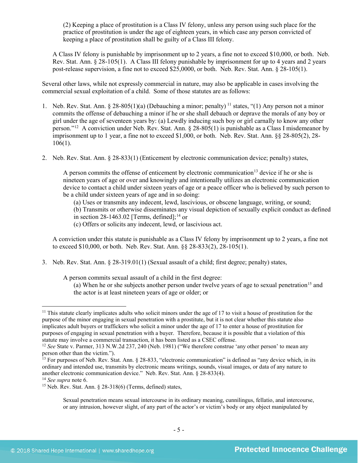(2) Keeping a place of prostitution is a Class IV felony, unless any person using such place for the practice of prostitution is under the age of eighteen years, in which case any person convicted of keeping a place of prostitution shall be guilty of a Class III felony.

A Class IV felony is punishable by imprisonment up to 2 years, a fine not to exceed \$10,000, or both. Neb. Rev. Stat. Ann. § 28-105(1). A Class III felony punishable by imprisonment for up to 4 years and 2 years post-release supervision, a fine not to exceed \$25,0000, or both. Neb. Rev. Stat. Ann. § 28-105(1).

Several other laws, while not expressly commercial in nature, may also be applicable in cases involving the commercial sexual exploitation of a child. Some of those statutes are as follows:

- 1. Neb. Rev. Stat. Ann. § 28-805(1)(a) (Debauching a minor; penalty) [11](#page-4-0) states, "(1) Any person not a minor commits the offense of debauching a minor if he or she shall debauch or deprave the morals of any boy or girl under the age of seventeen years by: (a) Lewdly inducing such boy or girl carnally to know any other person.["12](#page-4-1) A conviction under Neb. Rev. Stat. Ann. § 28-805(1) is punishable as a Class I misdemeanor by imprisonment up to 1 year, a fine not to exceed \$1,000, or both. Neb. Rev. Stat. Ann. §§ 28-805(2), 28- 106(1).
- 2. Neb. Rev. Stat. Ann. § 28-833(1) (Enticement by electronic communication device; penalty) states,

<span id="page-4-5"></span>A person commits the offense of enticement by electronic communication<sup>13</sup> device if he or she is nineteen years of age or over and knowingly and intentionally utilizes an electronic communication device to contact a child under sixteen years of age or a peace officer who is believed by such person to be a child under sixteen years of age and in so doing:

(a) Uses or transmits any indecent, lewd, lascivious, or obscene language, writing, or sound;

(b) Transmits or otherwise disseminates any visual depiction of sexually explicit conduct as defined in section  $28-1463.02$  $28-1463.02$  $28-1463.02$  [Terms, defined];<sup>14</sup> or

(c) Offers or solicits any indecent, lewd, or lascivious act.

A conviction under this statute is punishable as a Class IV felony by imprisonment up to 2 years, a fine not to exceed \$10,000, or both. Neb. Rev. Stat. Ann. §§ 28-833(2), 28-105(1).

3. Neb. Rev. Stat. Ann. § 28-319.01(1) (Sexual assault of a child; first degree; penalty) states,

A person commits sexual assault of a child in the first degree:

(a) When he or she subjects another person under twelve years of age to sexual penetration<sup>15</sup> and the actor is at least nineteen years of age or older; or

<span id="page-4-0"></span><sup>&</sup>lt;sup>11</sup> This statute clearly implicates adults who solicit minors under the age of 17 to visit a house of prostitution for the purpose of the minor engaging in sexual penetration with a prostitute, but it is not clear whether this statute also implicates adult buyers or traffickers who solicit a minor under the age of 17 to enter a house of prostitution for purposes of engaging in sexual penetration with a buyer. Therefore, because it is possible that a violation of this statute may involve a commercial transaction, it has been listed as a CSEC offense.

<span id="page-4-1"></span><sup>&</sup>lt;sup>12</sup> *See* State v. Parmer, 313 N.W.2d 237, 240 (Neb. 1981) ("We therefore construe 'any other person' to mean any person other than the victim.").

<span id="page-4-2"></span><sup>&</sup>lt;sup>13</sup> For purposes of Neb. Rev. Stat. Ann. § 28-833, "electronic communication" is defined as "any device which, in its ordinary and intended use, transmits by electronic means writings, sounds, visual images, or data of any nature to another electronic communication device." Neb. Rev. Stat. Ann. § 28-833(4).<br><sup>14</sup> *See supra* note [6.](#page-2-6)<br><sup>15</sup> Neb. Rev. Stat. Ann. § 28-318(6) (Terms, defined) states,

<span id="page-4-4"></span><span id="page-4-3"></span>

Sexual penetration means sexual intercourse in its ordinary meaning, cunnilingus, fellatio, anal intercourse, or any intrusion, however slight, of any part of the actor's or victim's body or any object manipulated by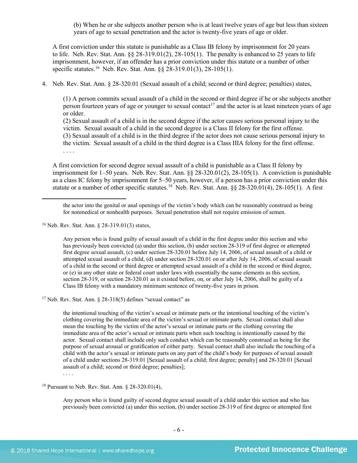(b) When he or she subjects another person who is at least twelve years of age but less than sixteen years of age to sexual penetration and the actor is twenty-five years of age or older.

A first conviction under this statute is punishable as a Class IB felony by imprisonment for 20 years to life. Neb. Rev. Stat. Ann.  $\S$   $\S$   $28-319.01(2)$ ,  $28-105(1)$ . The penalty is enhanced to 25 years to life imprisonment, however, if an offender has a prior conviction under this statute or a number of other specific statutes.<sup>[16](#page-5-0)</sup> Neb. Rev. Stat. Ann. §§ 28-319.01(3), 28-105(1).

4. Neb. Rev. Stat. Ann. § 28-320.01 (Sexual assault of a child; second or third degree; penalties) states,

(1) A person commits sexual assault of a child in the second or third degree if he or she subjects another person fourteen years of age or younger to sexual contact<sup>17</sup> and the actor is at least nineteen years of age or older.

(2) Sexual assault of a child is in the second degree if the actor causes serious personal injury to the victim. Sexual assault of a child in the second degree is a Class II felony for the first offense. (3) Sexual assault of a child is in the third degree if the actor does not cause serious personal injury to the victim. Sexual assault of a child in the third degree is a Class IIIA felony for the first offense. . . . .

A first conviction for second degree sexual assault of a child is punishable as a Class II felony by imprisonment for 1–50 years. Neb. Rev. Stat. Ann. §§ 28-320.01(2), 28-105(1). A conviction is punishable as a class IC felony by imprisonment for 5–50 years, however, if a person has a prior conviction under this statute or a number of other specific statutes.<sup>[18](#page-5-2)</sup> Neb. Rev. Stat. Ann.  $\S$ § 28-320.01(4), 28-105(1). A first

l

Any person who is found guilty of sexual assault of a child in the first degree under this section and who has previously been convicted (a) under this section, (b) under section 28-319 of first degree or attempted first degree sexual assault, (c) under section 28-320.01 before July 14, 2006, of sexual assault of a child or attempted sexual assault of a child, (d) under section 28-320.01 on or after July 14, 2006, of sexual assault of a child in the second or third degree or attempted sexual assault of a child in the second or third degree, or (e) in any other state or federal court under laws with essentially the same elements as this section, section 28-319, or section 28-320.01 as it existed before, on, or after July 14, 2006, shall be guilty of a Class IB felony with a mandatory minimum sentence of twenty-five years in prison.

<span id="page-5-1"></span> $17$  Neb. Rev. Stat. Ann. § 28-318(5) defines "sexual contact" as

the intentional touching of the victim's sexual or intimate parts or the intentional touching of the victim's clothing covering the immediate area of the victim's sexual or intimate parts. Sexual contact shall also mean the touching by the victim of the actor's sexual or intimate parts or the clothing covering the immediate area of the actor's sexual or intimate parts when such touching is intentionally caused by the actor. Sexual contact shall include only such conduct which can be reasonably construed as being for the purpose of sexual arousal or gratification of either party. Sexual contact shall also include the touching of a child with the actor's sexual or intimate parts on any part of the child's body for purposes of sexual assault of a child under sections 28-319.01 [Sexual assault of a child; first degree; penalty] and 28-320.01 [Sexual assault of a child; second or third degree; penalties];

<span id="page-5-2"></span><sup>18</sup> Pursuant to Neb. Rev. Stat. Ann. § 28-320.01(4),

Any person who is found guilty of second degree sexual assault of a child under this section and who has previously been convicted (a) under this section, (b) under section 28-319 of first degree or attempted first

. . . .

the actor into the genital or anal openings of the victim's body which can be reasonably construed as being for nonmedical or nonhealth purposes. Sexual penetration shall not require emission of semen.

<span id="page-5-0"></span><sup>16</sup> Neb. Rev. Stat. Ann. § 28-319.01(3) states,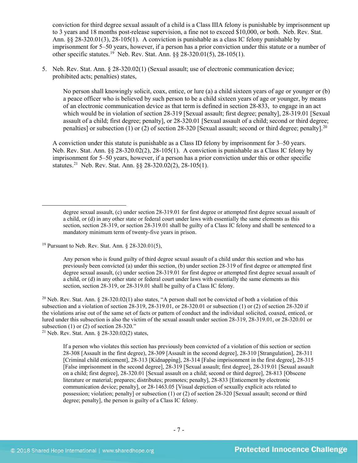conviction for third degree sexual assault of a child is a Class IIIA felony is punishable by imprisonment up to 3 years and 18 months post-release supervision, a fine not to exceed \$10,000, or both. Neb. Rev. Stat. Ann. §§ 28-320.01(3), 28-105(1). A conviction is punishable as a class IC felony punishable by imprisonment for 5–50 years, however, if a person has a prior conviction under this statute or a number of other specific statutes.<sup>[19](#page-6-0)</sup> Neb. Rev. Stat. Ann. §§ 28-320.01(5), 28-105(1).

5. Neb. Rev. Stat. Ann. § 28-320.02(1) (Sexual assault; use of electronic communication device; prohibited acts; penalties) states,

No person shall knowingly solicit, coax, entice, or lure (a) a child sixteen years of age or younger or (b) a peace officer who is believed by such person to be a child sixteen years of age or younger, by means of an electronic communication device as that term is defined in section 28-833, to engage in an act which would be in violation of section [28-319](http://nebraskalegislature.gov/laws/statutes.php?statute=28-319) [Sexual assault; first degree; penalty], [28-319.01](http://nebraskalegislature.gov/laws/statutes.php?statute=28-319.01) [Sexual assault of a child; first degree; penalty], or [28-320.01](http://nebraskalegislature.gov/laws/statutes.php?statute=28-320.01) [Sexual assault of a child; second or third degree; penalties] or subsection (1) or (2) of section [28-320](http://nebraskalegislature.gov/laws/statutes.php?statute=28-320) [Sexual assault; second or third degree; penalty].<sup>[20](#page-6-1)</sup>

A conviction under this statute is punishable as a Class ID felony by imprisonment for 3–50 years. Neb. Rev. Stat. Ann. §§ 28-320.02(2), 28-105(1). A conviction is punishable as a Class IC felony by imprisonment for 5–50 years, however, if a person has a prior conviction under this or other specific statutes.[21](#page-6-2) Neb. Rev. Stat. Ann. §§ 28-320.02(2), 28-105(1).

<span id="page-6-0"></span><sup>19</sup> Pursuant to Neb. Rev. Stat. Ann. § 28-320.01(5),

 $\overline{\phantom{a}}$ 

Any person who is found guilty of third degree sexual assault of a child under this section and who has previously been convicted (a) under this section, (b) under section 28-319 of first degree or attempted first degree sexual assault, (c) under section 28-319.01 for first degree or attempted first degree sexual assault of a child, or (d) in any other state or federal court under laws with essentially the same elements as this section, section 28-319, or 28-319.01 shall be guilty of a Class IC felony.

<span id="page-6-1"></span><sup>20</sup> Neb. Rev. Stat. Ann. § 28-320.02(1) also states, "A person shall not be convicted of both a violation of this subsection and a violation of section 28-319, 28-319.01, or 28-320.01 or subsection (1) or (2) of section 28-320 if the violations arise out of the same set of facts or pattern of conduct and the individual solicited, coaxed, enticed, or lured under this subsection is also the victim of the sexual assault under section 28-319, 28-319.01, or 28-320.01 or subsection (1) or (2) of section  $28-320$ ."

<span id="page-6-2"></span><sup>21</sup> Neb. Rev. Stat. Ann. § 28-320.02(2) states,

If a person who violates this section has previously been convicted of a violation of this section or section 28-308 [Assault in the first degree), 28-309 [Assault in the second degree], 28-310 [Strangulation], 28-311 [Criminal child enticement], 28-313 [Kidnapping], 28-314 [False imprisonment in the first degree], 28-315 [False imprisonment in the second degree], 28-319 [Sexual assault; first degree], 28-319.01 [Sexual assault on a child; first degree], 28-320.01 [Sexual assault on a child; second or third degree], 28-813 [Obscene literature or material; prepares; distributes; promotes; penalty], 28-833 [Enticement by electronic communication device; penalty], or 28-1463.05 [Visual depiction of sexually explicit acts related to possession; violation; penalty] or subsection (1) or (2) of section 28-320 [Sexual assault; second or third degree; penalty], the person is guilty of a Class IC felony.

degree sexual assault, (c) under section 28-319.01 for first degree or attempted first degree sexual assault of a child, or (d) in any other state or federal court under laws with essentially the same elements as this section, section 28-319, or section 28-319.01 shall be guilty of a Class IC felony and shall be sentenced to a mandatory minimum term of twenty-five years in prison.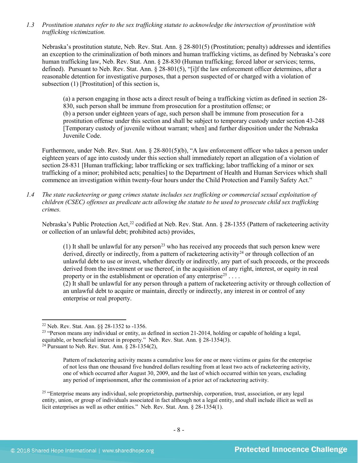*1.3 Prostitution statutes refer to the sex trafficking statute to acknowledge the intersection of prostitution with trafficking victimization.* 

Nebraska's prostitution statute, Neb. Rev. Stat. Ann. § 28-801(5) (Prostitution; penalty) addresses and identifies an exception to the criminalization of both minors and human trafficking victims, as defined by Nebraska's core human trafficking law, Neb. Rev. Stat. Ann. § 28-830 (Human trafficking; forced labor or services; terms, defined). Pursuant to Neb. Rev. Stat. Ann. § 28-801(5), "[i]f the law enforcement officer determines, after a reasonable detention for investigative purposes, that a person suspected of or charged with a violation of subsection (1) [Prostitution] of this section is,

(a) a person engaging in those acts a direct result of being a trafficking victim as defined in section 28- 830, such person shall be immune from prosecution for a prostitution offense; or (b) a person under eighteen years of age, such person shall be immune from prosecution for a prostitution offense under this section and shall be subject to temporary custody under section 43-248 [Temporary custody of juvenile without warrant; when] and further disposition under the Nebraska Juvenile Code.

Furthermore, under Neb. Rev. Stat. Ann. § 28-801(5)(b), "A law enforcement officer who takes a person under eighteen years of age into custody under this section shall immediately report an allegation of a violation of section 28-831 [Human trafficking; labor trafficking or sex trafficking; labor trafficking of a minor or sex trafficking of a minor; prohibited acts; penalties] to the Department of Health and Human Services which shall commence an investigation within twenty-four hours under the Child Protection and Family Safety Act."

*1.4 The state racketeering or gang crimes statute includes sex trafficking or commercial sexual exploitation of children (CSEC) offenses as predicate acts allowing the statute to be used to prosecute child sex trafficking crimes.* 

Nebraska's Public Protection Act,<sup>[22](#page-7-0)</sup> codified at Neb. Rev. Stat. Ann. § 28-1355 (Pattern of racketeering activity or collection of an unlawful debt; prohibited acts) provides,

(1) It shall be unlawful for any person<sup>[23](#page-7-1)</sup> who has received any proceeds that such person knew were derived, directly or indirectly, from a pattern of racketeering activity<sup>[24](#page-7-2)</sup> or through collection of an unlawful debt to use or invest, whether directly or indirectly, any part of such proceeds, or the proceeds derived from the investment or use thereof, in the acquisition of any right, interest, or equity in real property or in the establishment or operation of any enterprise<sup>[25](#page-7-3)</sup> ...

(2) It shall be unlawful for any person through a pattern of racketeering activity or through collection of an unlawful debt to acquire or maintain, directly or indirectly, any interest in or control of any enterprise or real property.

l

<span id="page-7-2"></span><span id="page-7-1"></span><span id="page-7-0"></span><sup>22</sup> Neb. Rev. Stat. Ann. §§ 28-1352 to -1356.<br><sup>23</sup> "Person means any individual or entity, as defined in section 21-2014, holding or capable of holding a legal, equitable, or beneficial interest in property." Neb. Rev. Stat. Ann. § 28-1354(3). <sup>24</sup> Pursuant to Neb. Rev. Stat. Ann. § 28-1354(2),

Pattern of racketeering activity means a cumulative loss for one or more victims or gains for the enterprise of not less than one thousand five hundred dollars resulting from at least two acts of racketeering activity, one of which occurred after August 30, 2009, and the last of which occurred within ten years, excluding any period of imprisonment, after the commission of a prior act of racketeering activity.

<span id="page-7-3"></span><sup>25</sup> "Enterprise means any individual, sole proprietorship, partnership, corporation, trust, association, or any legal entity, union, or group of individuals associated in fact although not a legal entity, and shall include illicit as well as licit enterprises as well as other entities." Neb. Rev. Stat. Ann. § 28-1354(1).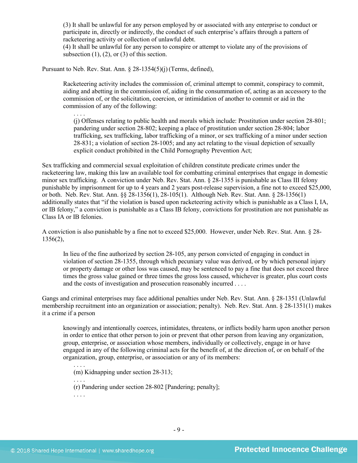(3) It shall be unlawful for any person employed by or associated with any enterprise to conduct or participate in, directly or indirectly, the conduct of such enterprise's affairs through a pattern of racketeering activity or collection of unlawful debt.

(4) It shall be unlawful for any person to conspire or attempt to violate any of the provisions of subsection  $(1)$ ,  $(2)$ , or  $(3)$  of this section.

Pursuant to Neb. Rev. Stat. Ann. § 28-1354(5)(j)(Terms, defined),

. . . .

Racketeering activity includes the commission of, criminal attempt to commit, conspiracy to commit, aiding and abetting in the commission of, aiding in the consummation of, acting as an accessory to the commission of, or the solicitation, coercion, or intimidation of another to commit or aid in the commission of any of the following:

(j) Offenses relating to public health and morals which include: Prostitution under section 28-801; pandering under section 28-802; keeping a place of prostitution under section 28-804; labor trafficking, sex trafficking, labor trafficking of a minor, or sex trafficking of a minor under section 28-831; a violation of section 28-1005; and any act relating to the visual depiction of sexually explicit conduct prohibited in the Child Pornography Prevention Act;

Sex trafficking and commercial sexual exploitation of children constitute predicate crimes under the racketeering law, making this law an available tool for combatting criminal enterprises that engage in domestic minor sex trafficking. A conviction under Neb. Rev. Stat. Ann. § 28-1355 is punishable as Class III felony punishable by imprisonment for up to 4 years and 2 years post-release supervision, a fine not to exceed \$25,000, or both. Neb. Rev. Stat. Ann. §§ 28-1356(1), 28-105(1). Although Neb. Rev. Stat. Ann. § 28-1356(1) additionally states that "if the violation is based upon racketeering activity which is punishable as a Class I, IA, or IB felony," a conviction is punishable as a Class IB felony, convictions for prostitution are not punishable as Class IA or IB felonies.

A conviction is also punishable by a fine not to exceed \$25,000. However, under Neb. Rev. Stat. Ann. § 28- 1356(2),

In lieu of the fine authorized by section 28-105, any person convicted of engaging in conduct in violation of section 28-1355, through which pecuniary value was derived, or by which personal injury or property damage or other loss was caused, may be sentenced to pay a fine that does not exceed three times the gross value gained or three times the gross loss caused, whichever is greater, plus court costs and the costs of investigation and prosecution reasonably incurred . . . .

Gangs and criminal enterprises may face additional penalties under Neb. Rev. Stat. Ann. § 28-1351 (Unlawful membership recruitment into an organization or association; penalty). Neb. Rev. Stat. Ann. § 28-1351(1) makes it a crime if a person

knowingly and intentionally coerces, intimidates, threatens, or inflicts bodily harm upon another person in order to entice that other person to join or prevent that other person from leaving any organization, group, enterprise, or association whose members, individually or collectively, engage in or have engaged in any of the following criminal acts for the benefit of, at the direction of, or on behalf of the organization, group, enterprise, or association or any of its members:

(m) Kidnapping under section 28-313;

. . . . (r) Pandering under section 28-802 [Pandering; penalty]; . . . .

. . . .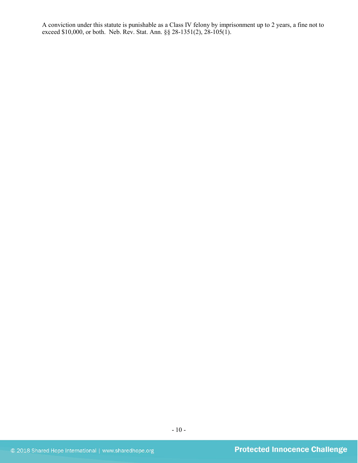A conviction under this statute is punishable as a Class IV felony by imprisonment up to 2 years, a fine not to exceed \$10,000, or both. Neb. Rev. Stat. Ann. §§ 28-1351(2), 28-105(1).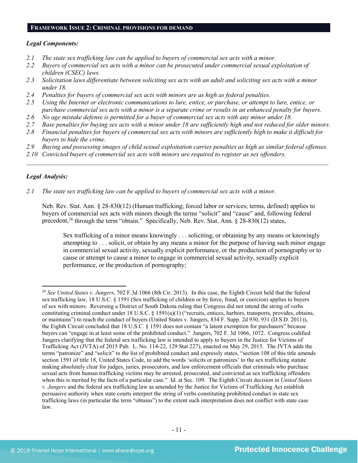#### **FRAMEWORK ISSUE 2: CRIMINAL PROVISIONS FOR DEMAND**

#### *Legal Components:*

- *2.1 The state sex trafficking law can be applied to buyers of commercial sex acts with a minor.*
- *2.2 Buyers of commercial sex acts with a minor can be prosecuted under commercial sexual exploitation of children (CSEC) laws.*
- *2.3 Solicitation laws differentiate between soliciting sex acts with an adult and soliciting sex acts with a minor under 18.*
- *2.4 Penalties for buyers of commercial sex acts with minors are as high as federal penalties.*
- *2.5 Using the Internet or electronic communications to lure, entice, or purchase, or attempt to lure, entice, or purchase commercial sex acts with a minor is a separate crime or results in an enhanced penalty for buyers.*
- *2.6 No age mistake defense is permitted for a buyer of commercial sex acts with any minor under 18.*
- *2.7 Base penalties for buying sex acts with a minor under 18 are sufficiently high and not reduced for older minors.*
- *2.8 Financial penalties for buyers of commercial sex acts with minors are sufficiently high to make it difficult for buyers to hide the crime.*
- *2.9 Buying and possessing images of child sexual exploitation carries penalties as high as similar federal offenses.*

\_\_\_\_\_\_\_\_\_\_\_\_\_\_\_\_\_\_\_\_\_\_\_\_\_\_\_\_\_\_\_\_\_\_\_\_\_\_\_\_\_\_\_\_\_\_\_\_\_\_\_\_\_\_\_\_\_\_\_\_\_\_\_\_\_\_\_\_\_\_\_\_\_\_\_\_\_\_\_\_\_\_\_\_\_\_\_\_\_\_\_\_\_\_

*2.10 Convicted buyers of commercial sex acts with minors are required to register as sex offenders.* 

## *Legal Analysis:*

*2.1 The state sex trafficking law can be applied to buyers of commercial sex acts with a minor.*

Neb. Rev. Stat. Ann. § 28-830(12) (Human trafficking; forced labor or services; terms, defined) applies to buyers of commercial sex acts with minors though the terms "solicit" and "cause" and, following federal precedent,<sup>[26](#page-10-0)</sup> through the term "obtain." Specifically, Neb. Rev. Stat. Ann. § 28-830(12) states,

Sex trafficking of a minor means knowingly . . . soliciting, or obtaining by any means or knowingly attempting to . . . solicit, or obtain by any means a minor for the purpose of having such minor engage in commercial sexual activity, sexually explicit performance, or the production of pornography or to cause or attempt to cause a minor to engage in commercial sexual activity, sexually explicit performance, or the production of pornography;

<span id="page-10-0"></span> $\overline{\phantom{a}}$ <sup>26</sup> *See United States v. Jungers*, 702 F.3d 1066 (8th Cir. 2013). In this case, the Eighth Circuit held that the federal sex trafficking law, 18 U.S.C. § 1591 (Sex trafficking of children or by force, fraud, or coercion) applies to buyers of sex with minors. Reversing a District of South Dakota ruling that Congress did not intend the string of verbs constituting criminal conduct under 18 U.S.C. § 1591(a)(1) ("recruits, entices, harbors, transports, provides, obtains, or maintains") to reach the conduct of buyers (United States v. Jungers, 834 F. Supp. 2d 930, 931 (D.S.D. 2011)), the Eighth Circuit concluded that 18 U.S.C. § 1591 does not contain "a latent exemption for purchasers" because buyers can "engage in at least some of the prohibited conduct." Jungers, 702 F. 3d 1066, 1072. Congress codified Jungers clarifying that the federal sex trafficking law is intended to apply to buyers in the Justice for Victims of Trafficking Act (JVTA) of 2015 Pub. L. No. 114-22, 129 Stat 227), enacted on May 29, 2015. The JVTA adds the terms "patronize" and "solicit" to the list of prohibited conduct and expressly states, "section 108 of this title amends section 1591 of title 18, United States Code, to add the words 'solicits or patronizes' to the sex trafficking statute making absolutely clear for judges, juries, prosecutors, and law enforcement officials that criminals who purchase sexual acts from human trafficking victims may be arrested, prosecuted, and convicted as sex trafficking offenders when this is merited by the facts of a particular case." Id. at Sec. 109. The Eighth Circuit decision in *United States v. Jungers* and the federal sex trafficking law as amended by the Justice for Victims of Trafficking Act establish persuasive authority when state courts interpret the string of verbs constituting prohibited conduct in state sex trafficking laws (in particular the term "obtains") to the extent such interpretation does not conflict with state case law.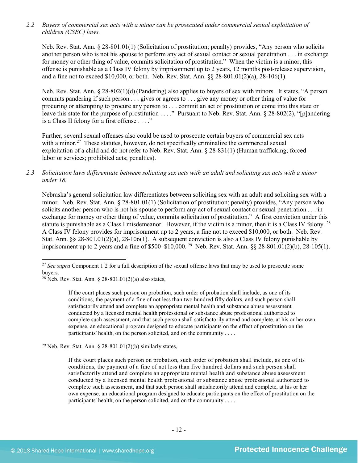*2.2 Buyers of commercial sex acts with a minor can be prosecuted under commercial sexual exploitation of children (CSEC) laws.*

Neb. Rev. Stat. Ann. § 28-801.01(1) (Solicitation of prostitution; penalty) provides, "Any person who solicits another person who is not his spouse to perform any act of sexual contact or sexual penetration . . . in exchange for money or other thing of value, commits solicitation of prostitution." When the victim is a minor, this offense is punishable as a Class IV felony by imprisonment up to 2 years, 12 months post-release supervision, and a fine not to exceed \$10,000, or both. Neb. Rev. Stat. Ann. §§ 28-801.01(2)(a), 28-106(1).

Neb. Rev. Stat. Ann. § 28-802(1)(d) (Pandering) also applies to buyers of sex with minors. It states, "A person commits pandering if such person . . . gives or agrees to . . . give any money or other thing of value for procuring or attempting to procure any person to . . . commit an act of prostitution or come into this state or leave this state for the purpose of prostitution . . . ." Pursuant to Neb. Rev. Stat. Ann. § 28-802(2), "[p]andering is a Class II felony for a first offense . . . ."

Further, several sexual offenses also could be used to prosecute certain buyers of commercial sex acts with a minor.<sup>[27](#page-11-0)</sup> These statutes, however, do not specifically criminalize the commercial sexual exploitation of a child and do not refer to Neb. Rev. Stat. Ann. § 28-831(1) (Human trafficking; forced labor or services; prohibited acts; penalties).

*2.3 Solicitation laws differentiate between soliciting sex acts with an adult and soliciting sex acts with a minor under 18.*

Nebraska's general solicitation law differentiates between soliciting sex with an adult and soliciting sex with a minor. Neb. Rev. Stat. Ann. § 28-801.01(1) (Solicitation of prostitution; penalty) provides, "Any person who solicits another person who is not his spouse to perform any act of sexual contact or sexual penetration . . . in exchange for money or other thing of value, commits solicitation of prostitution." A first conviction under this statute is punishable as a Class I misdemeanor. However, if the victim is a minor, then it is a Class IV felony. [28](#page-11-1) A Class IV felony provides for imprisonment up to 2 years, a fine not to exceed \$10,000, or both. Neb. Rev. Stat. Ann. §§ 28-801.01(2)(a), 28-106(1). A subsequent conviction is also a Class IV felony punishable by imprisonment up to 2 years and a fine of \$500–\$10,000. [29](#page-11-2) Neb. Rev. Stat. Ann. §§ 28-801.01(2)(b), 28-105(1).

l

If the court places such person on probation, such order of probation shall include, as one of its conditions, the payment of a fine of not less than two hundred fifty dollars, and such person shall satisfactorily attend and complete an appropriate mental health and substance abuse assessment conducted by a licensed mental health professional or substance abuse professional authorized to complete such assessment, and that such person shall satisfactorily attend and complete, at his or her own expense, an educational program designed to educate participants on the effect of prostitution on the participants' health, on the person solicited, and on the community . . . .

<span id="page-11-2"></span><sup>29</sup> Neb. Rev. Stat. Ann. § 28-801.01(2)(b) similarly states,

If the court places such person on probation, such order of probation shall include, as one of its conditions, the payment of a fine of not less than five hundred dollars and such person shall satisfactorily attend and complete an appropriate mental health and substance abuse assessment conducted by a licensed mental health professional or substance abuse professional authorized to complete such assessment, and that such person shall satisfactorily attend and complete, at his or her own expense, an educational program designed to educate participants on the effect of prostitution on the participants' health, on the person solicited, and on the community . . . .

<span id="page-11-0"></span><sup>&</sup>lt;sup>27</sup> *See supra* Component 1.2 for a full description of the sexual offense laws that may be used to prosecute some buyers.

<span id="page-11-1"></span><sup>&</sup>lt;sup>28</sup> Neb. Rev. Stat. Ann.  $\frac{28-801.01(2)}{a}$  also states,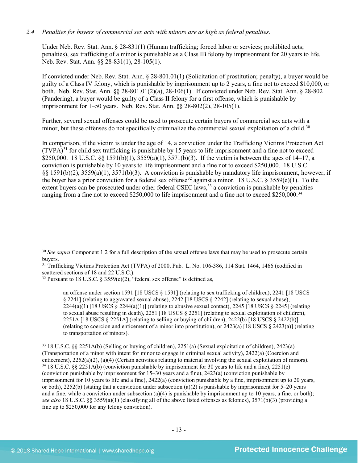# *2.4 Penalties for buyers of commercial sex acts with minors are as high as federal penalties.*

Under Neb. Rev. Stat. Ann. § 28-831(1) (Human trafficking; forced labor or services; prohibited acts; penalties), sex trafficking of a minor is punishable as a Class IB felony by imprisonment for 20 years to life. Neb. Rev. Stat. Ann. §§ 28-831(1), 28-105(1).

If convicted under Neb. Rev. Stat. Ann. § 28-801.01(1) (Solicitation of prostitution; penalty), a buyer would be guilty of a Class IV felony, which is punishable by imprisonment up to 2 years, a fine not to exceed \$10,000, or both. Neb. Rev. Stat. Ann. §§ 28-801.01(2)(a), 28-106(1). If convicted under Neb. Rev. Stat. Ann. § 28-802 (Pandering), a buyer would be guilty of a Class II felony for a first offense, which is punishable by imprisonment for 1–50 years. Neb. Rev. Stat. Ann. §§ 28-802(2), 28-105(1).

Further, several sexual offenses could be used to prosecute certain buyers of commercial sex acts with a minor, but these offenses do not specifically criminalize the commercial sexual exploitation of a child.<sup>[30](#page-12-0)</sup>

In comparison, if the victim is under the age of 14, a conviction under the Trafficking Victims Protection Act  $(TVPA)<sup>31</sup>$  $(TVPA)<sup>31</sup>$  $(TVPA)<sup>31</sup>$  for child sex trafficking is punishable by 15 years to life imprisonment and a fine not to exceed \$250,000. 18 U.S.C. §§ 1591(b)(1), 3559(a)(1), 3571(b)(3). If the victim is between the ages of 14–17, a conviction is punishable by 10 years to life imprisonment and a fine not to exceed \$250,000. 18 U.S.C. §§ 1591(b)(2), 3559(a)(1), 3571(b)(3). A conviction is punishable by mandatory life imprisonment, however, if the buyer has a prior conviction for a federal sex offense<sup>[32](#page-12-2)</sup> against a minor. 18 U.S.C. § 3559(e)(1). To the extent buyers can be prosecuted under other federal CSEC laws,<sup>[33](#page-12-3)</sup> a conviction is punishable by penalties ranging from a fine not to exceed \$250,000 to life imprisonment and a fine not to exceed \$250,000.<sup>[34](#page-12-4)</sup>

an offense under section 1591 [18 USCS § 1591] (relating to sex trafficking of children), 2241 [18 USCS § 2241] (relating to aggravated sexual abuse), 2242 [18 USCS § 2242] (relating to sexual abuse),  $2244(a)(1)$  [18 USCS § 2244(a)(1)] (relating to abusive sexual contact), 2245 [18 USCS § 2245] (relating to sexual abuse resulting in death), 2251 [18 USCS § 2251] (relating to sexual exploitation of children), 2251A [18 USCS § 2251A] (relating to selling or buying of children), 2422(b) [18 USCS § 2422(b)] (relating to coercion and enticement of a minor into prostitution), or 2423(a) [18 USCS § 2423(a)] (relating to transportation of minors).

<span id="page-12-0"></span><sup>30</sup> *See supra* Component 1.2 for a full description of the sexual offense laws that may be used to prosecute certain buyers.

<span id="page-12-1"></span><sup>&</sup>lt;sup>31</sup> Trafficking Victims Protection Act (TVPA) of 2000, Pub. L. No. 106-386, 114 Stat. 1464, 1466 (codified in scattered sections of 18 and 22 U.S.C.).

<span id="page-12-2"></span><sup>&</sup>lt;sup>32</sup> Pursuant to 18 U.S.C. § 3559(e)(2), "federal sex offense" is defined as,

<span id="page-12-4"></span><span id="page-12-3"></span><sup>33</sup> 18 U.S.C. §§ 2251A(b) (Selling or buying of children), 2251(a) (Sexual exploitation of children), 2423(a) (Transportation of a minor with intent for minor to engage in criminal sexual activity), 2422(a) (Coercion and enticement), 2252(a)(2), (a)(4) (Certain activities relating to material involving the sexual exploitation of minors). <sup>34</sup> 18 U.S.C. §§ 2251A(b) (conviction punishable by imprisonment for 30 years to life and a fine), 2251(e) (conviction punishable by imprisonment for 15–30 years and a fine), 2423(a) (conviction punishable by imprisonment for 10 years to life and a fine), 2422(a) (conviction punishable by a fine, imprisonment up to 20 years, or both), 2252(b) (stating that a conviction under subsection (a)(2) is punishable by imprisonment for  $5-20$  years and a fine, while a conviction under subsection (a)(4) is punishable by imprisonment up to 10 years, a fine, or both); *see also* 18 U.S.C. §§ 3559(a)(1) (classifying all of the above listed offenses as felonies), 3571(b)(3) (providing a fine up to \$250,000 for any felony conviction).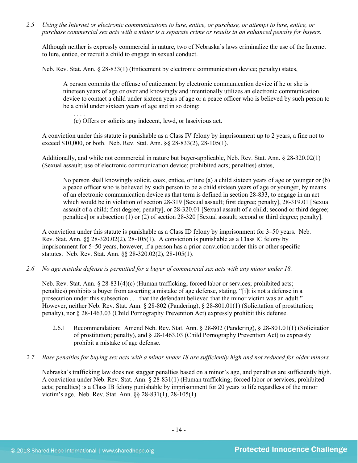*2.5 Using the Internet or electronic communications to lure, entice, or purchase, or attempt to lure, entice, or purchase commercial sex acts with a minor is a separate crime or results in an enhanced penalty for buyers.*

Although neither is expressly commercial in nature, two of Nebraska's laws criminalize the use of the Internet to lure, entice, or recruit a child to engage in sexual conduct.

Neb. Rev. Stat. Ann. § 28-833(1) (Enticement by electronic communication device; penalty) states,

A person commits the offense of enticement by electronic communication device if he or she is nineteen years of age or over and knowingly and intentionally utilizes an electronic communication device to contact a child under sixteen years of age or a peace officer who is believed by such person to be a child under sixteen years of age and in so doing:

. . . . (c) Offers or solicits any indecent, lewd, or lascivious act.

A conviction under this statute is punishable as a Class IV felony by imprisonment up to 2 years, a fine not to exceed \$10,000, or both. Neb. Rev. Stat. Ann. §§ 28-833(2), 28-105(1).

Additionally, and while not commercial in nature but buyer-applicable, Neb. Rev. Stat. Ann. § 28-320.02(1) (Sexual assault; use of electronic communication device; prohibited acts; penalties) states,

No person shall knowingly solicit, coax, entice, or lure (a) a child sixteen years of age or younger or (b) a peace officer who is believed by such person to be a child sixteen years of age or younger, by means of an electronic communication device as that term is defined in section 28-833, to engage in an act which would be in violation of section [28-319](http://nebraskalegislature.gov/laws/statutes.php?statute=28-319) [Sexual assault; first degree; penalty], [28-319.01](http://nebraskalegislature.gov/laws/statutes.php?statute=28-319.01) [Sexual assault of a child; first degree; penalty], or [28-320.01](http://nebraskalegislature.gov/laws/statutes.php?statute=28-320.01) [Sexual assault of a child; second or third degree; penalties] or subsection (1) or (2) of section [28-320](http://nebraskalegislature.gov/laws/statutes.php?statute=28-320) [Sexual assault; second or third degree; penalty].

A conviction under this statute is punishable as a Class ID felony by imprisonment for 3–50 years. Neb. Rev. Stat. Ann. §§ 28-320.02(2), 28-105(1). A conviction is punishable as a Class IC felony by imprisonment for 5–50 years, however, if a person has a prior conviction under this or other specific statutes. Neb. Rev. Stat. Ann. §§ 28-320.02(2), 28-105(1).

*2.6 No age mistake defense is permitted for a buyer of commercial sex acts with any minor under 18.*

Neb. Rev. Stat. Ann. § 28-831(4)(c) (Human trafficking; forced labor or services; prohibited acts; penalties) prohibits a buyer from asserting a mistake of age defense, stating, "[i]t is not a defense in a prosecution under this subsection . . . that the defendant believed that the minor victim was an adult." However, neither Neb. Rev. Stat. Ann. § 28-802 (Pandering), § 28-801.01(1) (Solicitation of prostitution; penalty), nor § 28-1463.03 (Child Pornography Prevention Act) expressly prohibit this defense.

- 2.6.1 Recommendation: Amend Neb. Rev. Stat. Ann. § 28-802 (Pandering), § 28-801.01(1) (Solicitation of prostitution; penalty), and § 28-1463.03 (Child Pornography Prevention Act) to expressly prohibit a mistake of age defense.
- *2.7 Base penalties for buying sex acts with a minor under 18 are sufficiently high and not reduced for older minors.*

Nebraska's trafficking law does not stagger penalties based on a minor's age, and penalties are sufficiently high. A conviction under Neb. Rev. Stat. Ann. § 28-831(1) (Human trafficking; forced labor or services; prohibited acts; penalties) is a Class IB felony punishable by imprisonment for 20 years to life regardless of the minor victim's age. Neb. Rev. Stat. Ann. §§ 28-831(1), 28-105(1).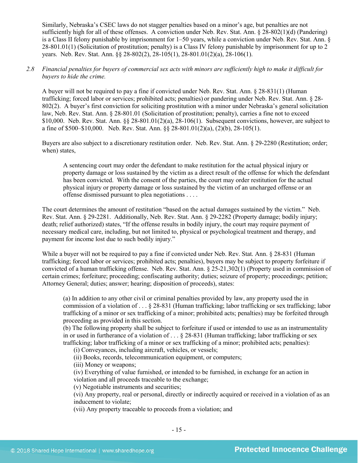Similarly, Nebraska's CSEC laws do not stagger penalties based on a minor's age, but penalties are not sufficiently high for all of these offenses. A conviction under Neb. Rev. Stat. Ann. § 28-802(1)(d) (Pandering) is a Class II felony punishable by imprisonment for 1–50 years, while a conviction under Neb. Rev. Stat. Ann. § 28-801.01(1) (Solicitation of prostitution; penalty) is a Class IV felony punishable by imprisonment for up to 2 years. Neb. Rev. Stat. Ann. §§ 28-802(2), 28-105(1), 28-801.01(2)(a), 28-106(1).

# *2.8 Financial penalties for buyers of commercial sex acts with minors are sufficiently high to make it difficult for buyers to hide the crime.*

A buyer will not be required to pay a fine if convicted under Neb. Rev. Stat. Ann. § 28-831(1) (Human trafficking; forced labor or services; prohibited acts; penalties) or pandering under Neb. Rev. Stat. Ann. § 28- 802(2). A buyer's first conviction for soliciting prostitution with a minor under Nebraska's general solicitation law, Neb. Rev. Stat. Ann. § 28-801.01 (Solicitation of prostitution; penalty), carries a fine not to exceed \$10,000. Neb. Rev. Stat. Ann. §§ 28-801.01(2)(a), 28-106(1). Subsequent convictions, however, are subject to a fine of \$500–\$10,000. Neb. Rev. Stat. Ann. §§ 28-801.01(2)(a), (2)(b), 28-105(1).

Buyers are also subject to a discretionary restitution order. Neb. Rev. Stat. Ann. § 29-2280 (Restitution; order; when) states,

A sentencing court may order the defendant to make restitution for the actual physical injury or property damage or loss sustained by the victim as a direct result of the offense for which the defendant has been convicted. With the consent of the parties, the court may order restitution for the actual physical injury or property damage or loss sustained by the victim of an uncharged offense or an offense dismissed pursuant to plea negotiations . . . .

The court determines the amount of restitution "based on the actual damages sustained by the victim." Neb. Rev. Stat. Ann. § 29-2281. Additionally, Neb. Rev. Stat. Ann. § 29-2282 (Property damage; bodily injury; death; relief authorized) states, "If the offense results in bodily injury, the court may require payment of necessary medical care, including, but not limited to, physical or psychological treatment and therapy, and payment for income lost due to such bodily injury."

While a buyer will not be required to pay a fine if convicted under Neb. Rev. Stat. Ann. § 28-831 (Human trafficking; forced labor or services; prohibited acts; penalties), buyers may be subject to property forfeiture if convicted of a human trafficking offense. Neb. Rev. Stat. Ann. § 25-21,302(1) (Property used in commission of certain crimes; forfeiture; proceeding; confiscating authority; duties; seizure of property; proceedings; petition; Attorney General; duties; answer; hearing; disposition of proceeds), states:

(a) In addition to any other civil or criminal penalties provided by law, any property used the in commission of a violation of  $\ldots$  § 28-831 (Human trafficking; labor trafficking or sex trafficking; labor trafficking of a minor or sex trafficking of a minor; prohibited acts; penalties) may be forfeited through proceeding as provided in this section.

(b) The following property shall be subject to forfeiture if used or intended to use as an instrumentality in or used in furtherance of a violation of  $\dots$  \$ 28-831 (Human trafficking; labor trafficking or sex trafficking; labor trafficking of a minor or sex trafficking of a minor; prohibited acts; penalties):

(i) Conveyances, including aircraft, vehicles, or vessels;

(ii) Books, records, telecommunication equipment, or computers;

(iii) Money or weapons;

(iv) Everything of value furnished, or intended to be furnished, in exchange for an action in violation and all proceeds traceable to the exchange;

(v) Negotiable instruments and securities;

(vi) Any property, real or personal, directly or indirectly acquired or received in a violation of as an inducement to violate;

(vii) Any property traceable to proceeds from a violation; and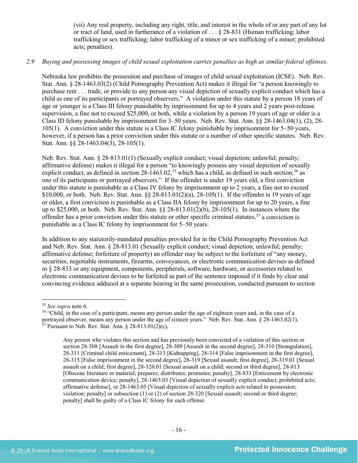(vii) Any real property, including any right, title, and interest in the whole of or any part of any lot or tract of land, used in furtherance of a violation of . . . § 28-831 (Human trafficking; labor trafficking or sex trafficking; labor trafficking of a minor or sex trafficking of a minor; prohibited acts; penalties).

#### *2.9 Buying and possessing images of child sexual exploitation carries penalties as high as similar federal offenses.*

Nebraska law prohibits the possession and purchase of images of child sexual exploitation (ICSE). Neb. Rev. Stat. Ann. § 28-1463.03(2) (Child Pornography Prevention Act) makes it illegal for "a person knowingly to purchase rent . . . trade, or provide to any person any visual depiction of sexually explicit conduct which has a child as one of its participants or portrayed observers." A violation under this statute by a person 18 years of age or younger is a Class III felony punishable by imprisonment for up to 4 years and 2 years post-release supervision, a fine not to exceed \$25,000, or both, while a violation by a person 19 years of age or older is a Class ID felony punishable by imprisonment for 3–50 years. Neb. Rev. Stat. Ann. §§ 28-1463.04(1), (2), 28- 105(1). A conviction under this statute is a Class IC felony punishable by imprisonment for 5–50 years, however, if a person has a prior conviction under this statute or a number of other specific statutes. Neb. Rev. Stat. Ann. §§ 28-1463.04(3), 28-105(1).

Neb. Rev. Stat. Ann. § 28-813.01(1) (Sexually explicit conduct; visual depiction; unlawful; penalty; affirmative defense) makes it illegal for a person "to knowingly possess any visual depiction of sexually explicit conduct, as defined in section 28-1463.02,<sup>[35](#page-15-0)</sup> which has a child, as defined in such section,<sup>[36](#page-15-1)</sup> as one of its participants or portrayed observers." If the offender is under 19 years old, a first conviction under this statute is punishable as a Class IV felony by imprisonment up to 2 years, a fine not to exceed \$10,000, or both. Neb. Rev. Stat. Ann. §§ 28-813.01(2)(a), 28-105(1). If the offender is 19 years of age or older, a first conviction is punishable as a Class IIA felony by imprisonment for up to 20 years, a fine up to \$25,000, or both. Neb. Rev. Stat. Ann. §§ 28-813.01(2)(b), 28-105(1). In instances where the offender has a prior conviction under this statute or other specific criminal statutes,  $37$  a conviction is punishable as a Class IC felony by imprisonment for 5–50 years.

In addition to any statutorily-mandated penalties provided for in the Child Pornography Prevention Act and Neb. Rev. Stat. Ann. § 28-813.01 (Sexually explicit conduct; visual depiction; unlawful; penalty; affirmative defense; forfeiture of property) an offender may be subject to the forfeiture of "any money, securities, negotiable instruments, firearms, conveyances, or electronic communication devises as defined in § 28-833 or any equipment, components, peripherals, software, hardware, or accessories related to electronic communication devises to be forfeited as part of the sentence imposed if it finds by clear and convincing evidence adduced at a separate hearing in the same prosecution, conducted pursuant to section

<span id="page-15-2"></span>

<span id="page-15-1"></span><span id="page-15-0"></span><sup>&</sup>lt;sup>35</sup> *See supra* note [6.](#page-2-6)<br><sup>36</sup> "Child, in the case of a participant, means any person under the age of eighteen years and, in the case of a portrayed observer, means any person under the age of sixteen years." Neb. Rev. Stat. Ann. § 28-1463.02(1). <sup>37</sup> Pursuant to Neb. Rev. Stat. Ann. § 28-813.01(2)(c),

Any person who violates this section and has previously been convicted of a violation of this section or section 28-308 [Assault in the first degree], 28-309 [Assault in the second degree], 28-310 [Strangulation], 28-311 [Criminal child enticement], 28-313 [Kidnapping], 28-314 [False imprisonment in the first degree], 28-315 [False imprisonment in the second degree], 28-319 [Sexual assault; first degree], 28-319.01 [Sexual assault on a child; first degree], 28-320.01 [Sexual assault on a child; second or third degree], 28-813 [Obscene literature or material; prepares; distributes; promotes; penalty], 28-833 [Enticement by electronic communication device; penalty], 28-1463.03 [Visual depiction of sexually explicit conduct; prohibited acts; affirmative defense], or 28-1463.05 [Visual depiction of sexually explicit acts related to possession; violation; penalty] or subsection (1) or (2) of section 28-320 [Sexual assault; second or third degree; penalty] shall be guilty of a Class IC felony for each offense.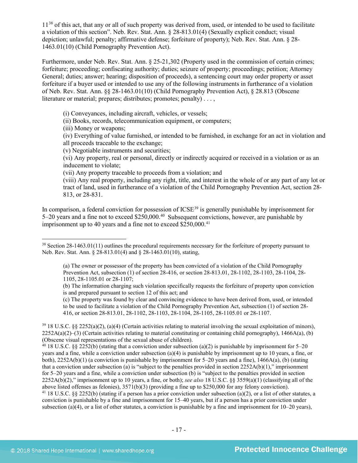11<sup>[38](#page-16-0)</sup> of this act, that any or all of such property was derived from, used, or intended to be used to facilitate a violation of this section". Neb. Rev. Stat. Ann. § 28-813.01(4) (Sexually explicit conduct; visual depiction; unlawful; penalty; affirmative defense; forfeiture of property); Neb. Rev. Stat. Ann. § 28- 1463.01(10) (Child Pornography Prevention Act).

Furthermore, under Neb. Rev. Stat. Ann. § 25-21,302 (Property used in the commission of certain crimes; forfeiture; proceeding; confiscating authority; duties; seizure of property; proceedings; petition; Attorney General; duties; answer; hearing; disposition of proceeds), a sentencing court may order property or asset forfeiture if a buyer used or intended to use any of the following instruments in furtherance of a violation of Neb. Rev. Stat. Ann. §§ 28-1463.01(10) (Child Pornography Prevention Act), § 28.813 (Obscene literature or material; prepares; distributes; promotes; penalty)...

(i) Conveyances, including aircraft, vehicles, or vessels;

(ii) Books, records, telecommunication equipment, or computers;

(iii) Money or weapons;

l

(iv) Everything of value furnished, or intended to be furnished, in exchange for an act in violation and all proceeds traceable to the exchange;

(v) Negotiable instruments and securities;

(vi) Any property, real or personal, directly or indirectly acquired or received in a violation or as an inducement to violate;

(vii) Any property traceable to proceeds from a violation; and

(viii) Any real property, including any right, title, and interest in the whole of or any part of any lot or tract of land, used in furtherance of a violation of the Child Pornography Prevention Act, section 28- 813, or 28-831.

In comparison, a federal conviction for possession of ICSE<sup>[39](#page-16-1)</sup> is generally punishable by imprisonment for 5–20 years and a fine not to exceed \$250,000.[40](#page-16-2) Subsequent convictions, however, are punishable by imprisonment up to 40 years and a fine not to exceed  $$250,000.<sup>41</sup>$  $$250,000.<sup>41</sup>$  $$250,000.<sup>41</sup>$ 

(c) The property was found by clear and convincing evidence to have been derived from, used, or intended to be used to facilitate a violation of the Child Pornography Prevention Act, subsection (1) of section 28- 416, or section 28-813.01, 28-1102, 28-1103, 28-1104, 28-1105, 28-1105.01 or 28-1107.

<span id="page-16-3"></span><span id="page-16-2"></span><sup>40</sup> 18 U.S.C. §§ 2252(b) (stating that a conviction under subsection (a)(2) is punishable by imprisonment for 5–20 years and a fine, while a conviction under subsection (a)(4) is punishable by imprisonment up to 10 years, a fine, or both), 2252A(b)(1) (a conviction is punishable by imprisonment for 5–20 years and a fine), 1466A(a), (b) (stating that a conviction under subsection (a) is "subject to the penalties provided in section  $2252A(b)(1)$ ," imprisonment for 5–20 years and a fine, while a conviction under subsection (b) is "subject to the penalties provided in section 2252A(b)(2)," imprisonment up to 10 years, a fine, or both); *see also* 18 U.S.C. §§ 3559(a)(1) (classifying all of the above listed offenses as felonies), 3571(b)(3) (providing a fine up to \$250,000 for any felony conviction). <sup>41</sup> 18 U.S.C. §§ 2252(b) (stating if a person has a prior conviction under subsection (a)(2), or a list of other statutes, a conviction is punishable by a fine and imprisonment for 15–40 years, but if a person has a prior conviction under subsection (a)(4), or a list of other statutes, a conviction is punishable by a fine and imprisonment for  $10-20$  years),

<span id="page-16-0"></span><sup>&</sup>lt;sup>38</sup> Section 28-1463.01(11) outlines the procedural requirements necessary for the forfeiture of property pursuant to Neb. Rev. Stat. Ann. § 28-813.01(4) and § 28-1463.01(10), stating,

<sup>(</sup>a) The owner or possessor of the property has been convicted of a violation of the Child Pornography Prevention Act, subsection (1) of section 28-416, or section 28-813.01, 28-1102, 28-1103, 28-1104, 28- 1105, 28-1105.01 or 28-1107;

<sup>(</sup>b) The information charging such violation specifically requests the forfeiture of property upon conviction is and prepared pursuant to section 12 of this act; and

<span id="page-16-1"></span> $39\,18$  U.S.C. §§ 2252(a)(2), (a)(4) (Certain activities relating to material involving the sexual exploitation of minors),  $2252A(a)(2)$ –(3) (Certain activities relating to material constituting or containing child pornography), 1466A(a), (b) (Obscene visual representations of the sexual abuse of children).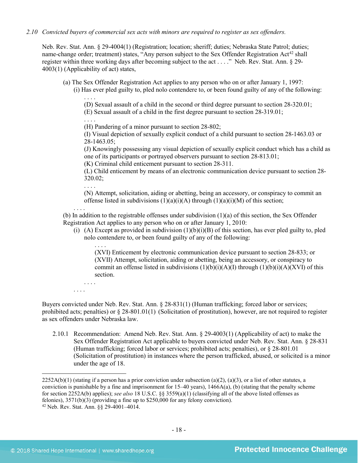#### *2.10 Convicted buyers of commercial sex acts with minors are required to register as sex offenders.*

Neb. Rev. Stat. Ann. § 29-4004(1) (Registration; location; sheriff; duties; Nebraska State Patrol; duties; name-change order; treatment) states, "Any person subject to the Sex Offender Registration Act<sup>[42](#page-17-0)</sup> shall register within three working days after becoming subject to the act . . . ." Neb. Rev. Stat. Ann. § 29- 4003(1) (Applicability of act) states,

- (a) The Sex Offender Registration Act applies to any person who on or after January 1, 1997:
	- (i) Has ever pled guilty to, pled nolo contendere to, or been found guilty of any of the following: . . . .

<span id="page-17-1"></span>(D) Sexual assault of a child in the second or third degree pursuant to section 28-320.01;

(E) Sexual assault of a child in the first degree pursuant to section 28-319.01;

. . . . (H) Pandering of a minor pursuant to section 28-802;

(I) Visual depiction of sexually explicit conduct of a child pursuant to section 28-1463.03 or 28-1463.05;

(J) Knowingly possessing any visual depiction of sexually explicit conduct which has a child as one of its participants or portrayed observers pursuant to section 28-813.01;

(K) Criminal child enticement pursuant to section 28-311.

(L) Child enticement by means of an electronic communication device pursuant to section 28- 320.02;

(N) Attempt, solicitation, aiding or abetting, being an accessory, or conspiracy to commit an offense listed in subdivisions  $(1)(a)(i)(A)$  through  $(1)(a)(i)(M)$  of this section;

. . . .

. . . .

(b) In addition to the registrable offenses under subdivision (1)(a) of this section, the Sex Offender Registration Act applies to any person who on or after January 1, 2010:

(i) (A) Except as provided in subdivision  $(1)(b)(i)(B)$  of this section, has ever pled guilty to, pled nolo contendere to, or been found guilty of any of the following:

. . . . (XVI) Enticement by electronic communication device pursuant to section 28-833; or (XVII) Attempt, solicitation, aiding or abetting, being an accessory, or conspiracy to commit an offense listed in subdivisions  $(1)(b)(i)(A)(I)$  through  $(1)(b)(i)(A)(XVI)$  of this section.

. . . . . . . .

Buyers convicted under Neb. Rev. Stat. Ann. § 28-831(1) (Human trafficking; forced labor or services; prohibited acts; penalties) or § 28-801.01(1) (Solicitation of prostitution), however, are not required to register as sex offenders under Nebraska law.

2.10.1 Recommendation: Amend Neb. Rev. Stat. Ann. § 29-4003(1) (Applicability of act) to make the Sex Offender Registration Act applicable to buyers convicted under Neb. Rev. Stat. Ann. § 28-831 (Human trafficking; forced labor or services; prohibited acts; penalties), or § 28-801.01 (Solicitation of prostitution) in instances where the person trafficked, abused, or solicited is a minor under the age of 18.

 $2252A(b)(1)$  (stating if a person has a prior conviction under subsection (a)(2), (a)(3), or a list of other statutes, a conviction is punishable by a fine and imprisonment for  $15-40$  years),  $1466A(a)$ , (b) (stating that the penalty scheme for section 2252A(b) applies); *see also* 18 U.S.C. §§ 3559(a)(1) (classifying all of the above listed offenses as felonies), 3571(b)(3) (providing a fine up to \$250,000 for any felony conviction).

<span id="page-17-0"></span><sup>42</sup> Neb. Rev. Stat. Ann. §§ 29-4001–4014.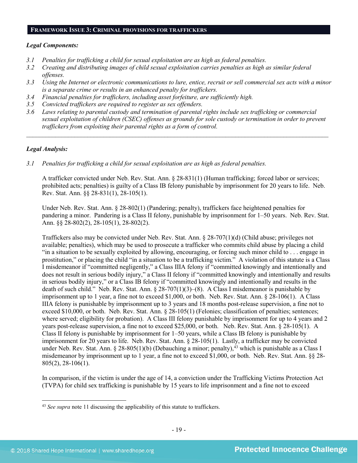#### **FRAMEWORK ISSUE 3: CRIMINAL PROVISIONS FOR TRAFFICKERS**

#### *Legal Components:*

- *3.1 Penalties for trafficking a child for sexual exploitation are as high as federal penalties.*
- *3.2 Creating and distributing images of child sexual exploitation carries penalties as high as similar federal offenses.*
- *3.3 Using the Internet or electronic communications to lure, entice, recruit or sell commercial sex acts with a minor is a separate crime or results in an enhanced penalty for traffickers.*
- *3.4 Financial penalties for traffickers, including asset forfeiture, are sufficiently high.*
- *3.5 Convicted traffickers are required to register as sex offenders.*
- *3.6 Laws relating to parental custody and termination of parental rights include sex trafficking or commercial sexual exploitation of children (CSEC) offenses as grounds for sole custody or termination in order to prevent traffickers from exploiting their parental rights as a form of control.*

*\_\_\_\_\_\_\_\_\_\_\_\_\_\_\_\_\_\_\_\_\_\_\_\_\_\_\_\_\_\_\_\_\_\_\_\_\_\_\_\_\_\_\_\_\_\_\_\_\_\_\_\_\_\_\_\_\_\_\_\_\_\_\_\_\_\_\_\_\_\_\_\_\_\_\_\_\_\_\_\_\_\_\_\_\_\_\_\_\_\_\_\_\_\_*

## *Legal Analysis:*

*3.1 Penalties for trafficking a child for sexual exploitation are as high as federal penalties.* 

A trafficker convicted under Neb. Rev. Stat. Ann. § 28-831(1) (Human trafficking; forced labor or services; prohibited acts; penalties) is guilty of a Class IB felony punishable by imprisonment for 20 years to life. Neb. Rev. Stat. Ann. §§ 28-831(1), 28-105(1).

Under Neb. Rev. Stat. Ann. § 28-802(1) (Pandering; penalty), traffickers face heightened penalties for pandering a minor. Pandering is a Class II felony, punishable by imprisonment for 1–50 years. Neb. Rev. Stat. Ann. §§ 28-802(2), 28-105(1), 28-802(2).

Traffickers also may be convicted under Neb. Rev. Stat. Ann. § 28-707(1)(d) (Child abuse; privileges not available; penalties), which may be used to prosecute a trafficker who commits child abuse by placing a child "in a situation to be sexually exploited by allowing, encouraging, or forcing such minor child to . . . engage in prostitution," or placing the child "in a situation to be a trafficking victim." A violation of this statute is a Class I misdemeanor if "committed negligently," a Class IIIA felony if "committed knowingly and intentionally and does not result in serious bodily injury," a Class II felony if "committed knowingly and intentionally and results in serious bodily injury," or a Class IB felony if "committed knowingly and intentionally and results in the death of such child." Neb. Rev. Stat. Ann. § 28-707(1)(3)–(8). A Class I misdemeanor is punishable by imprisonment up to 1 year, a fine not to exceed \$1,000, or both. Neb. Rev. Stat. Ann. § 28-106(1). A Class IIIA felony is punishable by imprisonment up to 3 years and 18 months post-release supervision, a fine not to exceed \$10,000, or both. Neb. Rev. Stat. Ann. § 28-105(1) (Felonies; classification of penalties; sentences; where served; eligibility for probation). A Class III felony punishable by imprisonment for up to 4 years and 2 years post-release supervision, a fine not to exceed \$25,000, or both. Neb. Rev. Stat. Ann. § 28-105(1). A Class II felony is punishable by imprisonment for 1–50 years, while a Class IB felony is punishable by imprisonment for 20 years to life. Neb. Rev. Stat. Ann. § 28-105(1). Lastly, a trafficker may be convicted under Neb. Rev. Stat. Ann. § 28-805(1)(b) (Debauching a minor; penalty),  $^{43}$  which is punishable as a Class I misdemeanor by imprisonment up to 1 year, a fine not to exceed \$1,000, or both. Neb. Rev. Stat. Ann. §§ 28- 805(2), 28-106(1).

In comparison, if the victim is under the age of 14, a conviction under the Trafficking Victims Protection Act (TVPA) for child sex trafficking is punishable by 15 years to life imprisonment and a fine not to exceed

<span id="page-18-0"></span><sup>43</sup> *See supra* note [11](#page-4-5) discussing the applicability of this statute to traffickers.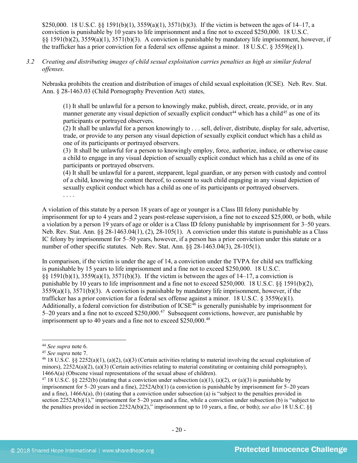\$250,000. 18 U.S.C. §§ 1591(b)(1),  $3559(a)(1)$ ,  $3571(b)(3)$ . If the victim is between the ages of 14–17, a conviction is punishable by 10 years to life imprisonment and a fine not to exceed \$250,000. 18 U.S.C. §§ 1591(b)(2), 3559(a)(1), 3571(b)(3). A conviction is punishable by mandatory life imprisonment, however, if the trafficker has a prior conviction for a federal sex offense against a minor. 18 U.S.C. § 3559(e)(1).

*3.2 Creating and distributing images of child sexual exploitation carries penalties as high as similar federal offenses.*

Nebraska prohibits the creation and distribution of images of child sexual exploitation (ICSE). Neb. Rev. Stat. Ann. § 28-1463.03 (Child Pornography Prevention Act) states,

(1) It shall be unlawful for a person to knowingly make, publish, direct, create, provide, or in any manner generate any visual depiction of sexually explicit conduct<sup>44</sup> which has a child<sup>[45](#page-19-1)</sup> as one of its participants or portrayed observers.

(2) It shall be unlawful for a person knowingly to . . . sell, deliver, distribute, display for sale, advertise, trade, or provide to any person any visual depiction of sexually explicit conduct which has a child as one of its participants or portrayed observers.

(3) It shall be unlawful for a person to knowingly employ, force, authorize, induce, or otherwise cause a child to engage in any visual depiction of sexually explicit conduct which has a child as one of its participants or portrayed observers.

(4) It shall be unlawful for a parent, stepparent, legal guardian, or any person with custody and control of a child, knowing the content thereof, to consent to such child engaging in any visual depiction of sexually explicit conduct which has a child as one of its participants or portrayed observers.

. . . .

A violation of this statute by a person 18 years of age or younger is a Class III felony punishable by imprisonment for up to 4 years and 2 years post-release supervision, a fine not to exceed \$25,000, or both, while a violation by a person 19 years of age or older is a Class ID felony punishable by imprisonment for 3–50 years. Neb. Rev. Stat. Ann. §§ 28-1463.04(1), (2), 28-105(1). A conviction under this statute is punishable as a Class IC felony by imprisonment for 5–50 years, however, if a person has a prior conviction under this statute or a number of other specific statutes. Neb. Rev. Stat. Ann. §§ 28-1463.04(3), 28-105(1).

In comparison, if the victim is under the age of 14, a conviction under the TVPA for child sex trafficking is punishable by 15 years to life imprisonment and a fine not to exceed \$250,000. 18 U.S.C. §§ 1591(b)(1), 3559(a)(1), 3571(b)(3). If the victim is between the ages of 14–17, a conviction is punishable by 10 years to life imprisonment and a fine not to exceed \$250,000. 18 U.S.C. §§ 1591(b)(2),  $3559(a)(1)$ ,  $3571(b)(3)$ . A conviction is punishable by mandatory life imprisonment, however, if the trafficker has a prior conviction for a federal sex offense against a minor. 18 U.S.C.  $\S 3559(e)(1)$ . Additionally, a federal conviction for distribution of  $ICSE<sup>46</sup>$  $ICSE<sup>46</sup>$  $ICSE<sup>46</sup>$  is generally punishable by imprisonment for 5–20 years and a fine not to exceed \$250,000.[47](#page-19-3) Subsequent convictions, however, are punishable by imprisonment up to 40 years and a fine not to exceed \$250,000.<sup>[48](#page-19-4)</sup>

<span id="page-19-0"></span><sup>44</sup> *See supra* note [6.](#page-2-6) 45 *See supra* note 7.

<span id="page-19-4"></span><span id="page-19-2"></span><span id="page-19-1"></span><sup>&</sup>lt;sup>46</sup> 18 U.S.C. §§ 2252(a)(1), (a)(2), (a)(3) (Certain activities relating to material involving the sexual exploitation of minors),  $2252A(a)(2)$ ,  $(a)(3)$  (Certain activities relating to material constituting or containing child pornography), 1466A(a) (Obscene visual representations of the sexual abuse of children).<br><sup>47</sup> 18 U.S.C. §§ 2252(b) (stating that a conviction under subsection (a)(1), (a)(2), or (a)(3) is punishable by

<span id="page-19-3"></span>imprisonment for 5–20 years and a fine), 2252A(b)(1) (a conviction is punishable by imprisonment for 5–20 years and a fine), 1466A(a), (b) (stating that a conviction under subsection (a) is "subject to the penalties provided in section 2252A(b)(1)," imprisonment for 5–20 years and a fine, while a conviction under subsection (b) is "subject to the penalties provided in section 2252A(b)(2)," imprisonment up to 10 years, a fine, or both); *see also* 18 U.S.C. §§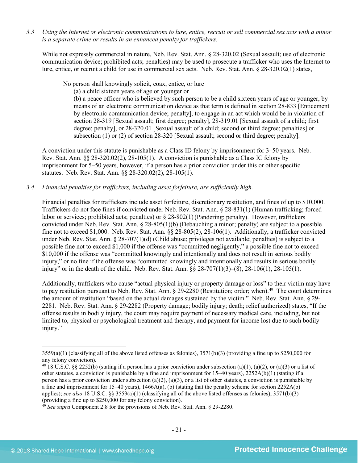*3.3 Using the Internet or electronic communications to lure, entice, recruit or sell commercial sex acts with a minor is a separate crime or results in an enhanced penalty for traffickers.*

While not expressly commercial in nature, Neb. Rev. Stat. Ann. § 28-320.02 (Sexual assault; use of electronic communication device; prohibited acts; penalties) may be used to prosecute a trafficker who uses the Internet to lure, entice, or recruit a child for use in commercial sex acts. Neb. Rev. Stat. Ann. § 28-320.02(1) states,

No person shall knowingly solicit, coax, entice, or lure

(a) a child sixteen years of age or younger or

(b) a peace officer who is believed by such person to be a child sixteen years of age or younger, by means of an electronic communication device as that term is defined in section 28-833 [Enticement by electronic communication device; penalty], to engage in an act which would be in violation of section [28-319](http://nebraskalegislature.gov/laws/statutes.php?statute=28-319) [Sexual assault; first degree; penalty], [28-319.01](http://nebraskalegislature.gov/laws/statutes.php?statute=28-319.01) [Sexual assault of a child; first degree; penalty], or [28-320.01](http://nebraskalegislature.gov/laws/statutes.php?statute=28-320.01) [Sexual assault of a child; second or third degree; penalties] or subsection (1) or (2) of section [28-320](http://nebraskalegislature.gov/laws/statutes.php?statute=28-320) [Sexual assault; second or third degree; penalty].

A conviction under this statute is punishable as a Class ID felony by imprisonment for 3–50 years. Neb. Rev. Stat. Ann.  $\S$ § 28-320.02(2), 28-105(1). A conviction is punishable as a Class IC felony by imprisonment for 5–50 years, however, if a person has a prior conviction under this or other specific statutes. Neb. Rev. Stat. Ann. §§ 28-320.02(2), 28-105(1).

# *3.4 Financial penalties for traffickers, including asset forfeiture, are sufficiently high.*

Financial penalties for traffickers include asset forfeiture, discretionary restitution, and fines of up to \$10,000. Traffickers do not face fines if convicted under Neb. Rev. Stat. Ann. § 28-831(1) (Human trafficking; forced labor or services; prohibited acts; penalties) or § 28-802(1)(Pandering; penalty). However, traffickers convicted under Neb. Rev. Stat. Ann. § 28-805(1)(b) (Debauching a minor; penalty) are subject to a possible fine not to exceed \$1,000. Neb. Rev. Stat. Ann. §§ 28-805(2), 28-106(1). Additionally, a trafficker convicted under Neb. Rev. Stat. Ann. § 28-707(1)(d) (Child abuse; privileges not available; penalties) is subject to a possible fine not to exceed \$1,000 if the offense was "committed negligently," a possible fine not to exceed \$10,000 if the offense was "committed knowingly and intentionally and does not result in serious bodily injury," or no fine if the offense was "committed knowingly and intentionally and results in serious bodily injury" or in the death of the child. Neb. Rev. Stat. Ann. §§ 28-707(1)(3)–(8), 28-106(1), 28-105(1).

Additionally, traffickers who cause "actual physical injury or property damage or loss" to their victim may have to pay restitution pursuant to Neb. Rev. Stat. Ann. § 29-2280 (Restitution; order; when).<sup>49</sup> The court determines the amount of restitution "based on the actual damages sustained by the victim." Neb. Rev. Stat. Ann. § 29- 2281. Neb. Rev. Stat. Ann. § 29-2282 (Property damage; bodily injury; death; relief authorized) states, "If the offense results in bodily injury, the court may require payment of necessary medical care, including, but not limited to, physical or psychological treatment and therapy, and payment for income lost due to such bodily injury."

 $3559(a)(1)$  (classifying all of the above listed offenses as felonies),  $3571(b)(3)$  (providing a fine up to \$250,000 for any felony conviction).

<sup>&</sup>lt;sup>48</sup> 18 U.S.C. §§ 2252(b) (stating if a person has a prior conviction under subsection (a)(1), (a)(2), or (a)(3) or a list of other statutes, a conviction is punishable by a fine and imprisonment for  $15-40$  years),  $2252A(b)(1)$  (stating if a person has a prior conviction under subsection (a)(2), (a)(3), or a list of other statutes, a conviction is punishable by a fine and imprisonment for 15–40 years),  $1466A(a)$ , (b) (stating that the penalty scheme for section  $2252A(b)$ applies); *see also* 18 U.S.C. §§ 3559(a)(1) (classifying all of the above listed offenses as felonies), 3571(b)(3) (providing a fine up to \$250,000 for any felony conviction).

<span id="page-20-0"></span><sup>&</sup>lt;sup>49</sup> See supra Component 2.8 for the provisions of Neb. Rev. Stat. Ann. § 29-2280.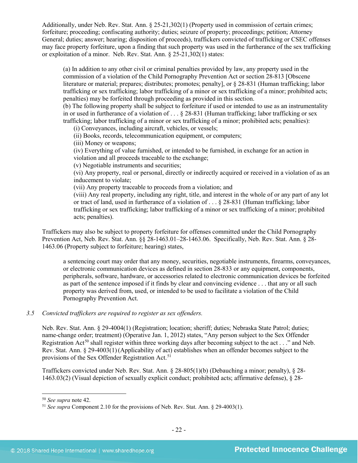Additionally, under Neb. Rev. Stat. Ann. § 25-21,302(1) (Property used in commission of certain crimes; forfeiture; proceeding; confiscating authority; duties; seizure of property; proceedings; petition; Attorney General; duties; answer; hearing; disposition of proceeds), traffickers convicted of trafficking or CSEC offenses may face property forfeiture, upon a finding that such property was used in the furtherance of the sex trafficking or exploitation of a minor. Neb. Rev. Stat. Ann. § 25-21,302(1) states:

(a) In addition to any other civil or criminal penalties provided by law, any property used in the commission of a violation of the Child Pornography Prevention Act or section 28-813 [Obscene literature or material; prepares; distributes; promotes; penalty], or § 28-831 (Human trafficking; labor trafficking or sex trafficking; labor trafficking of a minor or sex trafficking of a minor; prohibited acts; penalties) may be forfeited through proceeding as provided in this section.

(b) The following property shall be subject to forfeiture if used or intended to use as an instrumentality in or used in furtherance of a violation of . . . § 28-831 (Human trafficking; labor trafficking or sex trafficking; labor trafficking of a minor or sex trafficking of a minor; prohibited acts; penalties):

(i) Conveyances, including aircraft, vehicles, or vessels;

(ii) Books, records, telecommunication equipment, or computers;

(iii) Money or weapons;

(iv) Everything of value furnished, or intended to be furnished, in exchange for an action in violation and all proceeds traceable to the exchange;

(v) Negotiable instruments and securities;

(vi) Any property, real or personal, directly or indirectly acquired or received in a violation of as an inducement to violate;

(vii) Any property traceable to proceeds from a violation; and

(viii) Any real property, including any right, title, and interest in the whole of or any part of any lot or tract of land, used in furtherance of a violation of . . . § 28-831 (Human trafficking; labor trafficking or sex trafficking; labor trafficking of a minor or sex trafficking of a minor; prohibited acts; penalties).

Traffickers may also be subject to property forfeiture for offenses committed under the Child Pornography Prevention Act, Neb. Rev. Stat. Ann. §§ 28-1463.01–28-1463.06. Specifically, Neb. Rev. Stat. Ann. § 28- 1463.06 (Property subject to forfeiture; hearing) states,

a sentencing court may order that any money, securities, negotiable instruments, firearms, conveyances, or electronic communication devices as defined in section 28-833 or any equipment, components, peripherals, software, hardware, or accessories related to electronic communication devices be forfeited as part of the sentence imposed if it finds by clear and convincing evidence . . . that any or all such property was derived from, used, or intended to be used to facilitate a violation of the Child Pornography Prevention Act.

# *3.5 Convicted traffickers are required to register as sex offenders.*

Neb. Rev. Stat. Ann. § 29-4004(1) (Registration; location; sheriff; duties; Nebraska State Patrol; duties; name-change order; treatment) (Operative Jan. 1, 2012) states, "Any person subject to the Sex Offender Registration Act<sup>[50](#page-21-0)</sup> shall register within three working days after becoming subject to the act . . ." and Neb. Rev. Stat. Ann. § 29-4003(1)(Applicability of act) establishes when an offender becomes subject to the provisions of the Sex Offender Registration Act.<sup>[51](#page-21-1)</sup>

Traffickers convicted under Neb. Rev. Stat. Ann. § 28-805(1)(b) (Debauching a minor; penalty), § 28- 1463.03(2) (Visual depiction of sexually explicit conduct; prohibited acts; affirmative defense), § 28-

<span id="page-21-0"></span> $50$  See supra note 42.

<span id="page-21-1"></span><sup>&</sup>lt;sup>51</sup> *See supra* Component 2.10 for the provisions of Neb. Rev. Stat. Ann. § 29-4003(1).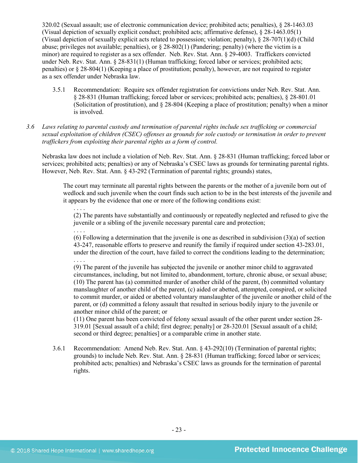320.02 (Sexual assault; use of electronic communication device; prohibited acts; penalties), § 28-1463.03 (Visual depiction of sexually explicit conduct; prohibited acts; affirmative defense), § 28-1463.05(1) (Visual depiction of sexually explicit acts related to possession; violation; penalty), § 28-707(1)(d) (Child abuse; privileges not available; penalties), or  $\S 28-802(1)$  (Pandering; penalty) (where the victim is a minor) are required to register as a sex offender. Neb. Rev. Stat. Ann. § 29-4003. Traffickers convicted under Neb. Rev. Stat. Ann. § 28-831(1) (Human trafficking; forced labor or services; prohibited acts; penalties) or § 28-804(1) (Keeping a place of prostitution; penalty), however, are not required to register as a sex offender under Nebraska law.

- 3.5.1 Recommendation: Require sex offender registration for convictions under Neb. Rev. Stat. Ann. § 28-831 (Human trafficking; forced labor or services; prohibited acts; penalties), § 28-801.01 (Solicitation of prostitution), and § 28-804 (Keeping a place of prostitution; penalty) when a minor is involved.
- *3.6 Laws relating to parental custody and termination of parental rights include sex trafficking or commercial sexual exploitation of children (CSEC) offenses as grounds for sole custody or termination in order to prevent traffickers from exploiting their parental rights as a form of control.*

Nebraska law does not include a violation of Neb. Rev. Stat. Ann. § 28-831 (Human trafficking; forced labor or services; prohibited acts; penalties) or any of Nebraska's CSEC laws as grounds for terminating parental rights. However, Neb. Rev. Stat. Ann. § 43-292 (Termination of parental rights; grounds) states,

The court may terminate all parental rights between the parents or the mother of a juvenile born out of wedlock and such juvenile when the court finds such action to be in the best interests of the juvenile and it appears by the evidence that one or more of the following conditions exist:

. . . . (2) The parents have substantially and continuously or repeatedly neglected and refused to give the juvenile or a sibling of the juvenile necessary parental care and protection;

. . . . (6) Following a determination that the juvenile is one as described in subdivision  $(3)(a)$  of section 43-247, reasonable efforts to preserve and reunify the family if required under section 43-283.01, under the direction of the court, have failed to correct the conditions leading to the determination; . . . .

(9) The parent of the juvenile has subjected the juvenile or another minor child to aggravated circumstances, including, but not limited to, abandonment, torture, chronic abuse, or sexual abuse; (10) The parent has (a) committed murder of another child of the parent, (b) committed voluntary manslaughter of another child of the parent, (c) aided or abetted, attempted, conspired, or solicited to commit murder, or aided or abetted voluntary manslaughter of the juvenile or another child of the parent, or (d) committed a felony assault that resulted in serious bodily injury to the juvenile or another minor child of the parent; or

(11) One parent has been convicted of felony sexual assault of the other parent under section 28- 319.01 [Sexual assault of a child; first degree; penalty] or 28-320.01 [Sexual assault of a child; second or third degree; penalties] or a comparable crime in another state.

3.6.1 Recommendation: Amend Neb. Rev. Stat. Ann. § 43-292(10) (Termination of parental rights; grounds) to include Neb. Rev. Stat. Ann. § 28-831 (Human trafficking; forced labor or services; prohibited acts; penalties) and Nebraska's CSEC laws as grounds for the termination of parental rights.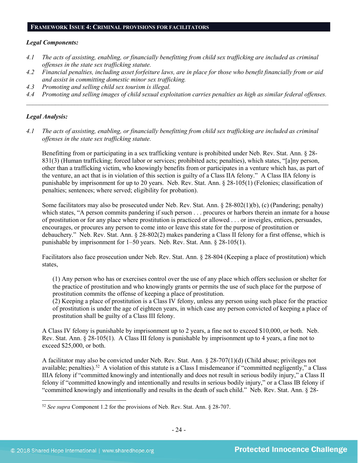#### **FRAMEWORK ISSUE 4: CRIMINAL PROVISIONS FOR FACILITATORS**

#### *Legal Components:*

- *4.1 The acts of assisting, enabling, or financially benefitting from child sex trafficking are included as criminal offenses in the state sex trafficking statute.*
- *4.2 Financial penalties, including asset forfeiture laws, are in place for those who benefit financially from or aid and assist in committing domestic minor sex trafficking.*
- *4.3 Promoting and selling child sex tourism is illegal.*
- *4.4 Promoting and selling images of child sexual exploitation carries penalties as high as similar federal offenses. \_\_\_\_\_\_\_\_\_\_\_\_\_\_\_\_\_\_\_\_\_\_\_\_\_\_\_\_\_\_\_\_\_\_\_\_\_\_\_\_\_\_\_\_\_\_\_\_\_\_\_\_\_\_\_\_\_\_\_\_\_\_\_\_\_\_\_\_\_\_\_\_\_\_\_\_\_\_\_\_\_\_\_\_\_\_\_\_\_\_\_\_\_\_*

#### *Legal Analysis:*

*4.1 The acts of assisting, enabling, or financially benefitting from child sex trafficking are included as criminal offenses in the state sex trafficking statute.*

Benefitting from or participating in a sex trafficking venture is prohibited under Neb. Rev. Stat. Ann. § 28- 831(3) (Human trafficking; forced labor or services; prohibited acts; penalties), which states, "[a]ny person, other than a trafficking victim, who knowingly benefits from or participates in a venture which has, as part of the venture, an act that is in violation of this section is guilty of a Class IIA felony." A Class IIA felony is punishable by imprisonment for up to 20 years. Neb. Rev. Stat. Ann. § 28-105(1) (Felonies; classification of penalties; sentences; where served; eligibility for probation).

Some facilitators may also be prosecuted under Neb. Rev. Stat. Ann. § 28-802(1)(b), (c) (Pandering; penalty) which states, "A person commits pandering if such person . . . procures or harbors therein an inmate for a house of prostitution or for any place where prostitution is practiced or allowed . . . or inveigles, entices, persuades, encourages, or procures any person to come into or leave this state for the purpose of prostitution or debauchery." Neb. Rev. Stat. Ann. § 28-802(2) makes pandering a Class II felony for a first offense, which is punishable by imprisonment for 1–50 years. Neb. Rev. Stat. Ann. § 28-105(1).

Facilitators also face prosecution under Neb. Rev. Stat. Ann. § 28-804 (Keeping a place of prostitution) which states,

(1) Any person who has or exercises control over the use of any place which offers seclusion or shelter for the practice of prostitution and who knowingly grants or permits the use of such place for the purpose of prostitution commits the offense of keeping a place of prostitution.

(2) Keeping a place of prostitution is a Class IV felony, unless any person using such place for the practice of prostitution is under the age of eighteen years, in which case any person convicted of keeping a place of prostitution shall be guilty of a Class III felony.

A Class IV felony is punishable by imprisonment up to 2 years, a fine not to exceed \$10,000, or both. Neb. Rev. Stat. Ann. § 28-105(1). A Class III felony is punishable by imprisonment up to 4 years, a fine not to exceed \$25,000, or both.

A facilitator may also be convicted under Neb. Rev. Stat. Ann. § 28-707(1)(d) (Child abuse; privileges not available; penalties).<sup>[52](#page-23-0)</sup> A violation of this statute is a Class I misdemeanor if "committed negligently," a Class IIIA felony if "committed knowingly and intentionally and does not result in serious bodily injury," a Class II felony if "committed knowingly and intentionally and results in serious bodily injury," or a Class IB felony if "committed knowingly and intentionally and results in the death of such child." Neb. Rev. Stat. Ann. § 28-

<span id="page-23-0"></span><sup>52</sup> *See supra* Component 1.2 for the provisions of Neb. Rev. Stat. Ann. § 28-707.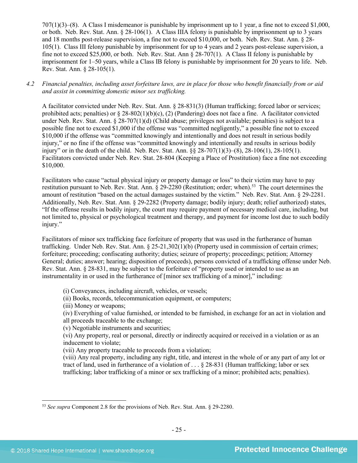707(1)(3)–(8). A Class I misdemeanor is punishable by imprisonment up to 1 year, a fine not to exceed \$1,000, or both. Neb. Rev. Stat. Ann. § 28-106(1). A Class IIIA felony is punishable by imprisonment up to 3 years and 18 months post-release supervision, a fine not to exceed \$10,000, or both. Neb. Rev. Stat. Ann. § 28- 105(1). Class III felony punishable by imprisonment for up to 4 years and 2 years post-release supervision, a fine not to exceed \$25,000, or both. Neb. Rev. Stat. Ann § 28-707(1). A Class II felony is punishable by imprisonment for 1–50 years, while a Class IB felony is punishable by imprisonment for 20 years to life. Neb. Rev. Stat. Ann. § 28-105(1).

# *4.2 Financial penalties, including asset forfeiture laws, are in place for those who benefit financially from or aid and assist in committing domestic minor sex trafficking.*

A facilitator convicted under Neb. Rev. Stat. Ann. § 28-831(3) (Human trafficking; forced labor or services; prohibited acts; penalties) or  $\S 28-802(1)(b)(c)$ , (2) (Pandering) does not face a fine. A facilitator convicted under Neb. Rev. Stat. Ann. § 28-707(1)(d) (Child abuse; privileges not available; penalties) is subject to a possible fine not to exceed \$1,000 if the offense was "committed negligently," a possible fine not to exceed \$10,000 if the offense was "committed knowingly and intentionally and does not result in serious bodily injury," or no fine if the offense was "committed knowingly and intentionally and results in serious bodily injury" or in the death of the child. Neb. Rev. Stat. Ann. §§ 28-707(1)(3)–(8), 28-106(1), 28-105(1). Facilitators convicted under Neb. Rev. Stat. 28-804 (Keeping a Place of Prostitution) face a fine not exceeding \$10,000.

Facilitators who cause "actual physical injury or property damage or loss" to their victim may have to pay restitution pursuant to Neb. Rev. Stat. Ann. § 29-2280 (Restitution; order; when).[53](#page-24-0) The court determines the amount of restitution "based on the actual damages sustained by the victim." Neb. Rev. Stat. Ann. § 29-2281. Additionally, Neb. Rev. Stat. Ann. § 29-2282 (Property damage; bodily injury; death; relief authorized) states, "If the offense results in bodily injury, the court may require payment of necessary medical care, including, but not limited to, physical or psychological treatment and therapy, and payment for income lost due to such bodily injury."

Facilitators of minor sex trafficking face forfeiture of property that was used in the furtherance of human trafficking. Under Neb. Rev. Stat. Ann. § 25-21,302(1)(b) (Property used in commission of certain crimes; forfeiture; proceeding; confiscating authority; duties; seizure of property; proceedings; petition; Attorney General; duties; answer; hearing; disposition of proceeds), persons convicted of a trafficking offense under Neb. Rev. Stat. Ann. § 28-831, may be subject to the forfeiture of "property used or intended to use as an instrumentality in or used in the furtherance of [minor sex trafficking of a minor]," including:

(i) Conveyances, including aircraft, vehicles, or vessels;

(ii) Books, records, telecommunication equipment, or computers;

(iii) Money or weapons;

(iv) Everything of value furnished, or intended to be furnished, in exchange for an act in violation and all proceeds traceable to the exchange;

(v) Negotiable instruments and securities;

(vi) Any property, real or personal, directly or indirectly acquired or received in a violation or as an inducement to violate;

(vii) Any property traceable to proceeds from a violation;

(viii) Any real property, including any right, title, and interest in the whole of or any part of any lot or tract of land, used in furtherance of a violation of . . . § 28-831 (Human trafficking; labor or sex trafficking; labor trafficking of a minor or sex trafficking of a minor; prohibited acts; penalties).

<span id="page-24-0"></span><sup>53</sup> *See supra* Component 2.8 for the provisions of Neb. Rev. Stat. Ann. § 29-2280.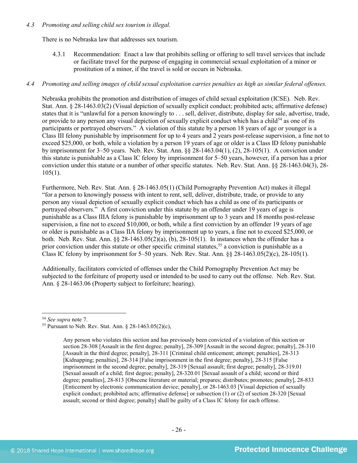# *4.3 Promoting and selling child sex tourism is illegal.*

There is no Nebraska law that addresses sex tourism.

4.3.1 Recommendation: Enact a law that prohibits selling or offering to sell travel services that include or facilitate travel for the purpose of engaging in commercial sexual exploitation of a minor or prostitution of a minor, if the travel is sold or occurs in Nebraska.

# *4.4 Promoting and selling images of child sexual exploitation carries penalties as high as similar federal offenses.*

Nebraska prohibits the promotion and distribution of images of child sexual exploitation (ICSE). Neb. Rev. Stat. Ann. § 28-1463.03(2) (Visual depiction of sexually explicit conduct; prohibited acts; affirmative defense) states that it is "unlawful for a person knowingly to . . . sell, deliver, distribute, display for sale, advertise, trade, or provide to any person any visual depiction of sexually explicit conduct which has a child<sup>54</sup> as one of its participants or portrayed observers." A violation of this statute by a person 18 years of age or younger is a Class III felony punishable by imprisonment for up to 4 years and 2 years post-release supervision, a fine not to exceed \$25,000, or both, while a violation by a person 19 years of age or older is a Class ID felony punishable by imprisonment for 3–50 years. Neb. Rev. Stat. Ann. §§ 28-1463.04(1), (2), 28-105(1). A conviction under this statute is punishable as a Class IC felony by imprisonment for 5–50 years, however, if a person has a prior conviction under this statute or a number of other specific statutes. Neb. Rev. Stat. Ann. §§ 28-1463.04(3), 28-  $105(1)$ .

Furthermore, Neb. Rev. Stat. Ann. § 28-1463.05(1) (Child Pornography Prevention Act) makes it illegal "for a person to knowingly possess with intent to rent, sell, deliver, distribute, trade, or provide to any person any visual depiction of sexually explicit conduct which has a child as one of its participants or portrayed observers." A first conviction under this statute by an offender under 19 years of age is punishable as a Class IIIA felony is punishable by imprisonment up to 3 years and 18 months post-release supervision, a fine not to exceed \$10,000, or both, while a first conviction by an offender 19 years of age or older is punishable as a Class IIA felony by imprisonment up to years, a fine not to exceed \$25,000, or both. Neb. Rev. Stat. Ann. §§ 28-1463.05(2)(a), (b), 28-105(1). In instances when the offender has a prior conviction under this statute or other specific criminal statutes,<sup>[55](#page-25-1)</sup> a conviction is punishable as a Class IC felony by imprisonment for 5–50 years. Neb. Rev. Stat. Ann. §§ 28-1463.05(2)(c), 28-105(1).

Additionally, facilitators convicted of offenses under the Child Pornography Prevention Act may be subjected to the forfeiture of property used or intended to be used to carry out the offense. Neb. Rev. Stat. Ann. § 28-1463.06 (Property subject to forfeiture; hearing).

<span id="page-25-0"></span><sup>54</sup> *See supra* note [7.](#page-2-7)

<span id="page-25-1"></span><sup>&</sup>lt;sup>55</sup> Pursuant to Neb. Rev. Stat. Ann.  $\S$  28-1463.05(2)(c),

Any person who violates this section and has previously been convicted of a violation of this section or section 28-308 [Assault in the first degree; penalty], 28-309 [Assault in the second degree; penalty], 28-310 [Assault in the third degree; penalty], 28-311 [Criminal child enticement; attempt; penalties], 28-313 [Kidnapping; penalties], 28-314 [False imprisonment in the first degree; penalty], 28-315 [False imprisonment in the second degree; penalty], 28-319 [Sexual assault; first degree; penalty], 28-319.01 [Sexual assault of a child; first degree; penalty], 28-320.01 [Sexual assault of a child; second or third degree; penalties], 28-813 [Obscene literature or material; prepares; distributes; promotes; penalty], 28-833 [Enticement by electronic communication device; penalty], or 28-1463.03 [Visual depiction of sexually explicit conduct; prohibited acts; affirmative defensel or subsection (1) or (2) of section 28-320 [Sexual] assault; second or third degree; penalty] shall be guilty of a Class IC felony for each offense.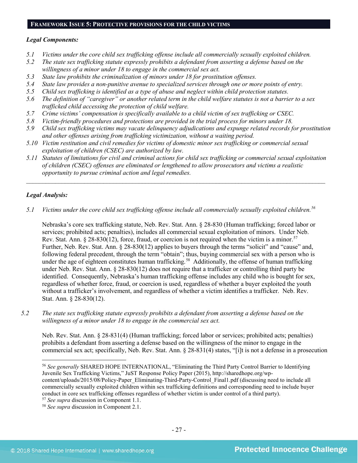#### **FRAMEWORK ISSUE 5: PROTECTIVE PROVISIONS FOR THE CHILD VICTIMS**

#### *Legal Components:*

- *5.1 Victims under the core child sex trafficking offense include all commercially sexually exploited children.*
- *5.2 The state sex trafficking statute expressly prohibits a defendant from asserting a defense based on the willingness of a minor under 18 to engage in the commercial sex act.*
- *5.3 State law prohibits the criminalization of minors under 18 for prostitution offenses.*
- *5.4 State law provides a non-punitive avenue to specialized services through one or more points of entry.*
- *5.5 Child sex trafficking is identified as a type of abuse and neglect within child protection statutes.*
- *5.6 The definition of "caregiver" or another related term in the child welfare statutes is not a barrier to a sex trafficked child accessing the protection of child welfare.*
- *5.7 Crime victims' compensation is specifically available to a child victim of sex trafficking or CSEC.*
- *5.8 Victim-friendly procedures and protections are provided in the trial process for minors under 18.*
- *5.9 Child sex trafficking victims may vacate delinquency adjudications and expunge related records for prostitution and other offenses arising from trafficking victimization, without a waiting period.*
- *5.10 Victim restitution and civil remedies for victims of domestic minor sex trafficking or commercial sexual exploitation of children (CSEC) are authorized by law.*
- *5.11 Statutes of limitations for civil and criminal actions for child sex trafficking or commercial sexual exploitation of children (CSEC) offenses are eliminated or lengthened to allow prosecutors and victims a realistic opportunity to pursue criminal action and legal remedies.*

*\_\_\_\_\_\_\_\_\_\_\_\_\_\_\_\_\_\_\_\_\_\_\_\_\_\_\_\_\_\_\_\_\_\_\_\_\_\_\_\_\_\_\_\_\_\_\_\_\_\_\_\_\_\_\_\_\_\_\_\_\_\_\_\_\_\_\_\_\_\_\_\_\_\_\_\_\_\_\_\_\_\_\_\_\_\_\_\_\_\_\_\_\_*

## *Legal Analysis:*

l

*5.1 Victims under the core child sex trafficking offense include all commercially sexually exploited children.[56](#page-26-0)*

Nebraska's core sex trafficking statute, Neb. Rev. Stat. Ann. § 28-830 (Human trafficking; forced labor or services; prohibited acts; penalties), includes all commercial sexual exploitation of minors. Under Neb. Rev. Stat. Ann.  $\S 28-830(12)$ , force, fraud, or coercion is not required when the victim is a minor.<sup>[57](#page-26-1)</sup> Further, Neb. Rev. Stat. Ann. § 28-830(12) applies to buyers through the terms "solicit" and "cause" and, following federal precedent, through the term "obtain"; thus, buying commercial sex with a person who is under the age of eighteen constitutes human trafficking.<sup>[58](#page-26-2)</sup> Additionally, the offense of human trafficking under Neb. Rev. Stat. Ann. § 28-830(12) does not require that a trafficker or controlling third party be identified. Consequently, Nebraska's human trafficking offense includes any child who is bought for sex, regardless of whether force, fraud, or coercion is used, regardless of whether a buyer exploited the youth without a trafficker's involvement, and regardless of whether a victim identifies a trafficker. Neb. Rev. Stat. Ann. § 28-830(12).

*5.2 The state sex trafficking statute expressly prohibits a defendant from asserting a defense based on the willingness of a minor under 18 to engage in the commercial sex act.* 

Neb. Rev. Stat. Ann. § 28-831(4) (Human trafficking; forced labor or services; prohibited acts; penalties) prohibits a defendant from asserting a defense based on the willingness of the minor to engage in the commercial sex act; specifically, Neb. Rev. Stat. Ann. § 28-831(4) states, "[i]t is not a defense in a prosecution

<span id="page-26-0"></span><sup>56</sup> *See generally* SHARED HOPE INTERNATIONAL, "Eliminating the Third Party Control Barrier to Identifying Juvenile Sex Trafficking Victims," JuST Response Policy Paper (2015), http://sharedhope.org/wpcontent/uploads/2015/08/Policy-Paper\_Eliminating-Third-Party-Control\_Final1.pdf (discussing need to include all commercially sexually exploited children within sex trafficking definitions and corresponding need to include buyer conduct in core sex trafficking offenses regardless of whether victim is under control of a third party).

<span id="page-26-1"></span><sup>57</sup> *See supra* discussion in Component 1.1.

<span id="page-26-2"></span><sup>58</sup> *See supra* discussion in Component 2.1.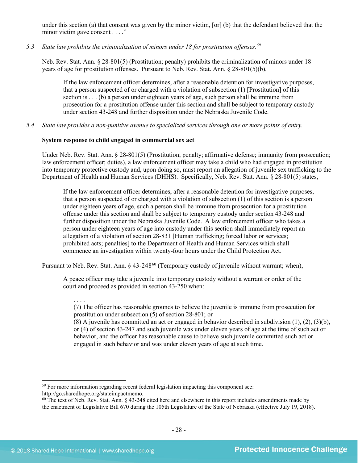under this section (a) that consent was given by the minor victim, [or] (b) that the defendant believed that the minor victim gave consent . . . ."

*5.3 State law prohibits the criminalization of minors under 18 for prostitution offenses.[59](#page-27-0)*

Neb. Rev. Stat. Ann. § 28-801(5) (Prostitution; penalty) prohibits the criminalization of minors under 18 years of age for prostitution offenses. Pursuant to Neb. Rev. Stat. Ann. § 28-801(5)(b),

If the law enforcement officer determines, after a reasonable detention for investigative purposes, that a person suspected of or charged with a violation of subsection (1) [Prostitution] of this section is . . . (b) a person under eighteen years of age, such person shall be immune from prosecution for a prostitution offense under this section and shall be subject to temporary custody under section 43-248 and further disposition under the Nebraska Juvenile Code.

*5.4 State law provides a non-punitive avenue to specialized services through one or more points of entry.*

# **System response to child engaged in commercial sex act**

Under Neb. Rev. Stat. Ann. § 28-801(5) (Prostitution; penalty; affirmative defense; immunity from prosecution; law enforcement officer; duties), a law enforcement officer may take a child who had engaged in prostitution into temporary protective custody and, upon doing so, must report an allegation of juvenile sex trafficking to the Department of Health and Human Services (DHHS). Specifically, Neb. Rev. Stat. Ann. § 28-801(5) states,

If the law enforcement officer determines, after a reasonable detention for investigative purposes, that a person suspected of or charged with a violation of subsection (1) of this section is a person under eighteen years of age, such a person shall be immune from prosecution for a prostitution offense under this section and shall be subject to temporary custody under section 43-248 and further disposition under the Nebraska Juvenile Code. A law enforcement officer who takes a person under eighteen years of age into custody under this section shall immediately report an allegation of a violation of section 28-831 [Human trafficking; forced labor or services; prohibited acts; penalties] to the Department of Health and Human Services which shall commence an investigation within twenty-four hours under the Child Protection Act.

Pursuant to Neb. Rev. Stat. Ann. § 43-248<sup>[60](#page-27-1)</sup> (Temporary custody of juvenile without warrant; when),

A peace officer may take a juvenile into temporary custody without a warrant or order of the court and proceed as provided in section 43-250 when:

(7) The officer has reasonable grounds to believe the juvenile is immune from prosecution for prostitution under subsection (5) of section 28-801; or

(8) A juvenile has committed an act or engaged in behavior described in subdivision (1), (2), (3)(b), or (4) of section 43-247 and such juvenile was under eleven years of age at the time of such act or behavior, and the officer has reasonable cause to believe such juvenile committed such act or engaged in such behavior and was under eleven years of age at such time.

<span id="page-27-0"></span>l <sup>59</sup> For more information regarding recent federal legislation impacting this component see: http://go.sharedhope.org/stateimpactmemo.

. . . .

<span id="page-27-1"></span> $60$  The text of Neb. Rev. Stat. Ann. § 43-248 cited here and elsewhere in this report includes amendments made by the enactment of Legislative Bill 670 during the 105th Legislature of the State of Nebraska (effective July 19, 2018).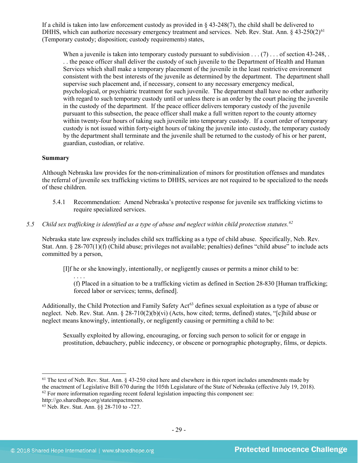If a child is taken into law enforcement custody as provided in § 43-248(7), the child shall be delivered to DHHS, which can authorize necessary emergency treatment and services. Neb. Rev. Stat. Ann.  $\S$  43-250(2)<sup>[61](#page-28-0)</sup> (Temporary custody; disposition; custody requirements) states,

When a juvenile is taken into temporary custody pursuant to subdivision  $\dots$  (7)  $\dots$  of section 43-248, . . . the peace officer shall deliver the custody of such juvenile to the Department of Health and Human Services which shall make a temporary placement of the juvenile in the least restrictive environment consistent with the best interests of the juvenile as determined by the department. The department shall supervise such placement and, if necessary, consent to any necessary emergency medical, psychological, or psychiatric treatment for such juvenile. The department shall have no other authority with regard to such temporary custody until or unless there is an order by the court placing the juvenile in the custody of the department. If the peace officer delivers temporary custody of the juvenile pursuant to this subsection, the peace officer shall make a full written report to the county attorney within twenty-four hours of taking such juvenile into temporary custody. If a court order of temporary custody is not issued within forty-eight hours of taking the juvenile into custody, the temporary custody by the department shall terminate and the juvenile shall be returned to the custody of his or her parent, guardian, custodian, or relative.

#### **Summary**

Although Nebraska law provides for the non-criminalization of minors for prostitution offenses and mandates the referral of juvenile sex trafficking victims to DHHS, services are not required to be specialized to the needs of these children.

- 5.4.1 Recommendation: Amend Nebraska's protective response for juvenile sex trafficking victims to require specialized services.
- *5.5 Child sex trafficking is identified as a type of abuse and neglect within child protection statutes.[62](#page-28-1)*

Nebraska state law expressly includes child sex trafficking as a type of child abuse. Specifically, Neb. Rev. Stat. Ann. § 28-707(1)(f) (Child abuse; privileges not available; penalties) defines "child abuse" to include acts committed by a person,

[I]f he or she knowingly, intentionally, or negligently causes or permits a minor child to be:

<span id="page-28-3"></span>. . . . (f) Placed in a situation to be a trafficking victim as defined in Section 28-830 [Human trafficking; forced labor or services; terms, defined].

Additionally, the Child Protection and Family Safety Act<sup>[63](#page-28-2)</sup> defines sexual exploitation as a type of abuse or neglect. Neb. Rev. Stat. Ann. § 28-710(2)(b)(vi) (Acts, how cited; terms, defined) states, "[c]hild abuse or neglect means knowingly, intentionally, or negligently causing or permitting a child to be:

Sexually exploited by allowing, encouraging, or forcing such person to solicit for or engage in prostitution, debauchery, public indecency, or obscene or pornographic photography, films, or depicts.

- <span id="page-28-1"></span>http://go.sharedhope.org/stateimpactmemo.
- <span id="page-28-2"></span><sup>63</sup> Neb. Rev. Stat. Ann. §§ 28-710 to -727.

<span id="page-28-0"></span> $<sup>61</sup>$  The text of Neb. Rev. Stat. Ann.  $§$  43-250 cited here and elsewhere in this report includes amendments made by</sup> the enactment of Legislative Bill 670 during the 105th Legislature of the State of Nebraska (effective July 19, 2018).  $62$  For more information regarding recent federal legislation impacting this component see: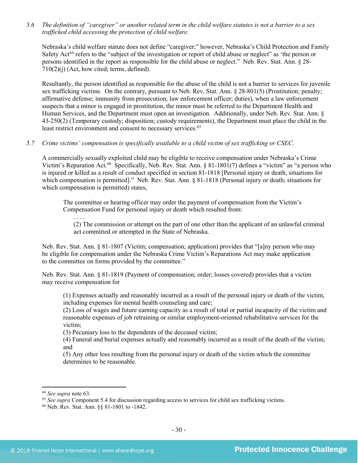*5.6 The definition of "caregiver" or another related term in the child welfare statutes is not a barrier to a sex trafficked child accessing the protection of child welfare.*

Nebraska's child welfare statute does not define "caregiver;" however, Nebraska's Child Protection and Family Safety Act<sup>[64](#page-29-0)</sup> refers to the "subject of the investigation or report of child abuse or neglect" as 'the person or persons identified in the report as responsible for the child abuse or neglect." Neb. Rev. Stat. Ann. § 28- 710(2)(j) (Act, how cited; terms, defined).

Resultantly, the person identified as responsible for the abuse of the child is not a barrier to services for juvenile sex trafficking victims. On the contrary, pursuant to Neb. Rev. Stat. Ann. § 28-801(5) (Prostitution; penalty; affirmative defense; immunity from prosecution; law enforcement officer; duties), when a law enforcement suspects that a minor is engaged in prostitution, the minor must be referred to the Department Health and Human Services, and the Department must open an investigation. Additionally, under Neb. Rev. Stat. Ann. § 43-250(2) (Temporary custody; disposition; custody requirements), the Department must place the child in the least restrict environment and consent to necessary services.<sup>[65](#page-29-1)</sup>

#### *5.7 Crime victims' compensation is specifically available to a child victim of sex trafficking or CSEC.*

A commercially sexually exploited child may be eligible to receive compensation under Nebraska's Crime Victim's Reparation Act.<sup>[66](#page-29-2)</sup> Specifically, Neb. Rev. Stat. Ann. § 81-1801(7) defines a "victim" as "a person who is injured or killed as a result of conduct specified in section 81-1818 [Personal injury or death; situations for which compensation is permitted]." Neb. Rev. Stat. Ann. § 81-1818 (Personal injury or death; situations for which compensation is permitted) states,

The committee or hearing officer may order the payment of compensation from the Victim's Compensation Fund for personal injury or death which resulted from:

. . . . (2) The commission or attempt on the part of one other than the applicant of an unlawful criminal act committed or attempted in the State of Nebraska.

Neb. Rev. Stat. Ann. § 81-1807 (Victim; compensation; application) provides that "[a]ny person who may be eligible for compensation under the Nebraska Crime Victim's Reparations Act may make application to the committee on forms provided by the committee."

Neb. Rev. Stat. Ann. § 81-1819 (Payment of compensation; order; losses covered) provides that a victim may receive compensation for

(1) Expenses actually and reasonably incurred as a result of the personal injury or death of the victim, including expenses for mental health counseling and care;

(2) Loss of wages and future earning capacity as a result of total or partial incapacity of the victim and reasonable expenses of job retraining or similar employment-oriented rehabilitative services for the victim;

(3) Pecuniary loss to the dependents of the deceased victim;

(4) Funeral and burial expenses actually and reasonably incurred as a result of the death of the victim; and

(5) Any other loss resulting from the personal injury or death of the victim which the committee determines to be reasonable.

<span id="page-29-0"></span><sup>64</sup> *See supra* note [63.](#page-28-3)

<span id="page-29-1"></span><sup>&</sup>lt;sup>65</sup> See supra Component 5.4 for discussion regarding access to services for child sex trafficking victims.

<span id="page-29-2"></span><sup>66</sup> Neb. Rev. Stat. Ann. §§ 81-1801 to -1842.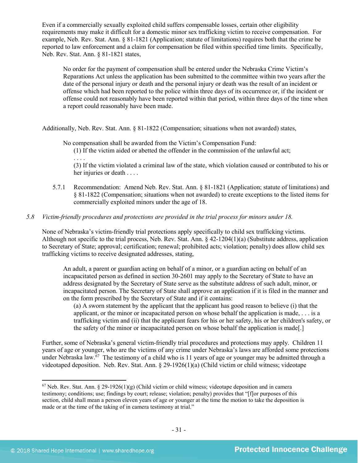Even if a commercially sexually exploited child suffers compensable losses, certain other eligibility requirements may make it difficult for a domestic minor sex trafficking victim to receive compensation. For example, Neb. Rev. Stat. Ann. § 81-1821 (Application; statute of limitations) requires both that the crime be reported to law enforcement and a claim for compensation be filed within specified time limits. Specifically, Neb. Rev. Stat. Ann. § 81-1821 states,

No order for the payment of compensation shall be entered under the Nebraska Crime Victim's Reparations Act unless the application has been submitted to the committee within two years after the date of the personal injury or death and the personal injury or death was the result of an incident or offense which had been reported to the police within three days of its occurrence or, if the incident or offense could not reasonably have been reported within that period, within three days of the time when a report could reasonably have been made.

Additionally, Neb. Rev. Stat. Ann. § 81-1822 (Compensation; situations when not awarded) states,

No compensation shall be awarded from the Victim's Compensation Fund:

(1) If the victim aided or abetted the offender in the commission of the unlawful act; . . . .

(3) If the victim violated a criminal law of the state, which violation caused or contributed to his or her injuries or death . . . .

5.7.1 Recommendation: Amend Neb. Rev. Stat. Ann. § 81-1821 (Application; statute of limitations) and § 81-1822 (Compensation; situations when not awarded) to create exceptions to the listed items for commercially exploited minors under the age of 18.

## *5.8 Victim-friendly procedures and protections are provided in the trial process for minors under 18.*

None of Nebraska's victim-friendly trial protections apply specifically to child sex trafficking victims. Although not specific to the trial process, Neb. Rev. Stat. Ann. § 42-1204(1)(a) (Substitute address, application to Secretary of State; approval; certification; renewal; prohibited acts; violation; penalty) does allow child sex trafficking victims to receive designated addresses, stating,

An adult, a parent or guardian acting on behalf of a minor, or a guardian acting on behalf of an incapacitated person as defined in section 30-2601 may apply to the Secretary of State to have an address designated by the Secretary of State serve as the substitute address of such adult, minor, or incapacitated person. The Secretary of State shall approve an application if it is filed in the manner and on the form prescribed by the Secretary of State and if it contains:

(a) A sworn statement by the applicant that the applicant has good reason to believe (i) that the applicant, or the minor or incapacitated person on whose behalf the application is made, . . . is a trafficking victim and (ii) that the applicant fears for his or her safety, his or her children's safety, or the safety of the minor or incapacitated person on whose behalf the application is made[.]

Further, some of Nebraska's general victim-friendly trial procedures and protections may apply. Children 11 years of age or younger, who are the victims of any crime under Nebraska's laws are afforded some protections under Nebraska law. [67](#page-30-0) The testimony of a child who is 11 years of age or younger may be admitted through a videotaped deposition. Neb. Rev. Stat. Ann. § 29-1926(1)(a) (Child victim or child witness; videotape

<span id="page-30-0"></span> $67$  Neb. Rev. Stat. Ann. § 29-1926(1)(g) (Child victim or child witness; videotape deposition and in camera testimony; conditions; use; findings by court; release; violation; penalty) provides that "[f]or purposes of this section, child shall mean a person eleven years of age or younger at the time the motion to take the deposition is made or at the time of the taking of in camera testimony at trial."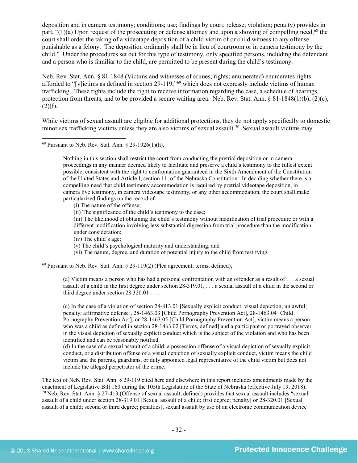deposition and in camera testimony; conditions; use; findings by court; release; violation; penalty) provides in part, " $(1)(a)$  Upon request of the prosecuting or defense attorney and upon a showing of compelling need,<sup>[68](#page-31-0)</sup> the court shall order the taking of a videotape deposition of a child victim of or child witness to any offense punishable as a felony. The deposition ordinarily shall be in lieu of courtroom or in camera testimony by the child." Under the procedures set out for this type of testimony, only specified persons, including the defendant and a person who is familiar to the child, are permitted to be present during the child's testimony.

Neb. Rev. Stat. Ann. § 81-1848 (Victims and witnesses of crimes; rights; enumerated) enumerates rights afforded to "[v]ictims as defined in section 29-119,"[69](#page-31-1) which does not expressly include victims of human trafficking. These rights include the right to receive information regarding the case, a schedule of hearings, protection from threats, and to be provided a secure waiting area. Neb. Rev. Stat. Ann.  $\S 81-1848(1)(b)$ ,  $(2)(c)$ ,  $(2)(f)$ .

While victims of sexual assault are eligible for additional protections, they do not apply specifically to domestic minor sex trafficking victims unless they are also victims of sexual assault.<sup>[70](#page-31-2)</sup> Sexual assault victims may

Nothing in this section shall restrict the court from conducting the pretrial deposition or in camera proceedings in any manner deemed likely to facilitate and preserve a child's testimony to the fullest extent possible, consistent with the right to confrontation guaranteed in the Sixth Amendment of the Constitution of the United States and Article I, section 11, of the Nebraska Constitution. In deciding whether there is a compelling need that child testimony accommodation is required by pretrial videotape deposition, in camera live testimony, in camera videotape testimony, or any other accommodation, the court shall make particularized findings on the record of:

- (i) The nature of the offense;
- (ii) The significance of the child's testimony to the case;

(iii) The likelihood of obtaining the child's testimony without modification of trial procedure or with a different modification involving less substantial digression from trial procedure than the modification under consideration;

- (iv) The child's age;
- (v) The child's psychological maturity and understanding; and
- (vi) The nature, degree, and duration of potential injury to the child from testifying.

<span id="page-31-1"></span> $69$  Pursuant to Neb. Rev. Stat. Ann. § 29-119(2) (Plea agreement; terms, defined),

(a) Victim means a person who has had a personal confrontation with an offender as a result of . . . a sexual assault of a child in the first degree under section 28-319.01, . . . a sexual assault of a child in the second or third degree under section 28.320.01 . . . .

. . . .

l

(c) In the case of a violation of section 28-813.01 [Sexually explicit conduct; visual depiction; unlawful; penalty; affirmative defense], 28-1463.03 [Child Pornography Prevention Act], 28-1463.04 [Child Pornography Prevention Act], or 28-1463.05 [Child Pornography Prevention Act], victim means a person who was a child as defined in section 28-1463.02 [Terms, defined] and a participant or portrayed observer in the visual depiction of sexually explicit conduct which is the subject of the violation and who has been identified and can be reasonably notified.

(d) In the case of a sexual assault of a child, a possession offense of a visual depiction of sexually explicit conduct, or a distribution offense of a visual depiction of sexually explicit conduct, victim means the child victim and the parents, guardians, or duly appointed legal representative of the child victim but does not include the alleged perpetrator of the crime.

<span id="page-31-2"></span>The text of Neb. Rev. Stat. Ann. § 29-119 cited here and elsewhere in this report includes amendments made by the enactment of Legislative Bill 160 during the 105th Legislature of the State of Nebraska (effective July 19, 2018).  $70$  Neb. Rev. Stat. Ann. § 27-413 (Offense of sexual assault, defined) provides that sexual assault includes "sexual" assault of a child under section 28-319.01 [Sexual assault of a child; first degree; penalty] or 28-320.01 [Sexual assault of a child; second or third degree; penalties], sexual assault by use of an electronic communication device

<span id="page-31-0"></span><sup>68</sup> Pursuant to Neb. Rev. Stat. Ann. § 29-1926(1)(h),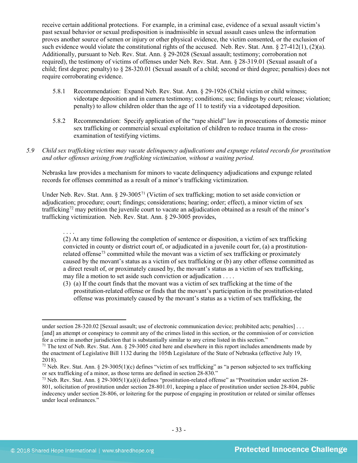receive certain additional protections. For example, in a criminal case, evidence of a sexual assault victim's past sexual behavior or sexual predisposition is inadmissible in sexual assault cases unless the information proves another source of semen or injury or other physical evidence, the victim consented, or the exclusion of such evidence would violate the constitutional rights of the accused. Neb. Rev. Stat. Ann. § 27-412(1), (2)(a). Additionally, pursuant to Neb. Rev. Stat. Ann. § 29-2028 (Sexual assault; testimony; corroboration not required), the testimony of victims of offenses under Neb. Rev. Stat. Ann. § 28-319.01 (Sexual assault of a child; first degree; penalty) to § 28-320.01 (Sexual assault of a child; second or third degree; penalties) does not require corroborating evidence.

- 5.8.1 Recommendation: Expand Neb. Rev. Stat. Ann. § 29-1926 (Child victim or child witness; videotape deposition and in camera testimony; conditions; use; findings by court; release; violation; penalty) to allow children older than the age of 11 to testify via a videotaped deposition.
- 5.8.2 Recommendation: Specify application of the "rape shield" law in prosecutions of domestic minor sex trafficking or commercial sexual exploitation of children to reduce trauma in the crossexamination of testifying victims.
- *5.9 Child sex trafficking victims may vacate delinquency adjudications and expunge related records for prostitution and other offenses arising from trafficking victimization, without a waiting period.*

Nebraska law provides a mechanism for minors to vacate delinquency adjudications and expunge related records for offenses committed as a result of a minor's trafficking victimization.

Under Neb. Rev. Stat. Ann. § 29-3005<sup>[71](#page-32-0)</sup> (Victim of sex trafficking; motion to set aside conviction or adjudication; procedure; court; findings; considerations; hearing; order; effect), a minor victim of sex trafficking[72](#page-32-1) may petition the juvenile court to vacate an adjudication obtained as a result of the minor's trafficking victimization. Neb. Rev. Stat. Ann. § 29-3005 provides,

. . . . (2) At any time following the completion of sentence or disposition, a victim of sex trafficking convicted in county or district court of, or adjudicated in a juvenile court for, (a) a prostitution-related offense<sup>[73](#page-32-2)</sup> committed while the movant was a victim of sex trafficking or proximately caused by the movant's status as a victim of sex trafficking or (b) any other offense committed as a direct result of, or proximately caused by, the movant's status as a victim of sex trafficking, may file a motion to set aside such conviction or adjudication . . . .

(3) (a) If the court finds that the movant was a victim of sex trafficking at the time of the prostitution-related offense or finds that the movant's participation in the prostitution-related offense was proximately caused by the movant's status as a victim of sex trafficking, the

under section 28-320.02 [Sexual assault; use of electronic communication device; prohibited acts; penalties] . . . [and] an attempt or conspiracy to commit any of the crimes listed in this section, or the commission of or conviction for a crime in another jurisdiction that is substantially similar to any crime listed in this section."  $71$  The text of Neb. Rev. Stat. Ann. § 29-3005 cited here and elsewhere in this report includes amendments made by

<span id="page-32-0"></span>the enactment of Legislative Bill 1132 during the 105th Legislature of the State of Nebraska (effective July 19, 2018).

<span id="page-32-1"></span><sup>&</sup>lt;sup>72</sup> Neb. Rev. Stat. Ann. § 29-3005(1)(c) defines "victim of sex trafficking" as "a person subjected to sex trafficking or sex trafficking of a minor, as those terms are defined in section 28-830."

<span id="page-32-2"></span><sup>73</sup> Neb. Rev. Stat. Ann. § 29-3005(1)(a)(i) defines "prostitution-related offense" as "Prostitution under section 28- 801, solicitation of prostitution under section 28-801.01, keeping a place of prostitution under section 28-804, public indecency under section 28-806, or loitering for the purpose of engaging in prostitution or related or similar offenses under local ordinances."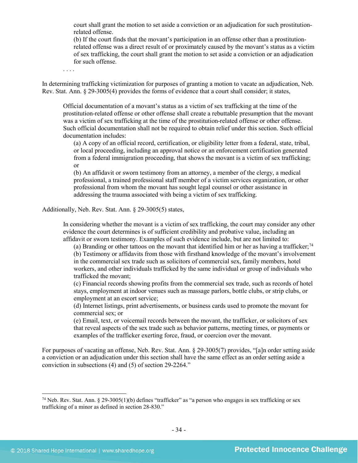court shall grant the motion to set aside a conviction or an adjudication for such prostitutionrelated offense.

(b) If the court finds that the movant's participation in an offense other than a prostitutionrelated offense was a direct result of or proximately caused by the movant's status as a victim of sex trafficking, the court shall grant the motion to set aside a conviction or an adjudication for such offense.

. . . .

In determining trafficking victimization for purposes of granting a motion to vacate an adjudication, Neb. Rev. Stat. Ann. § 29-3005(4) provides the forms of evidence that a court shall consider; it states,

Official documentation of a movant's status as a victim of sex trafficking at the time of the prostitution-related offense or other offense shall create a rebuttable presumption that the movant was a victim of sex trafficking at the time of the prostitution-related offense or other offense. Such official documentation shall not be required to obtain relief under this section. Such official documentation includes:

(a) A copy of an official record, certification, or eligibility letter from a federal, state, tribal, or local proceeding, including an approval notice or an enforcement certification generated from a federal immigration proceeding, that shows the movant is a victim of sex trafficking; or

(b) An affidavit or sworn testimony from an attorney, a member of the clergy, a medical professional, a trained professional staff member of a victim services organization, or other professional from whom the movant has sought legal counsel or other assistance in addressing the trauma associated with being a victim of sex trafficking.

Additionally, Neb. Rev. Stat. Ann. § 29-3005(5) states,

In considering whether the movant is a victim of sex trafficking, the court may consider any other evidence the court determines is of sufficient credibility and probative value, including an affidavit or sworn testimony. Examples of such evidence include, but are not limited to:

(a) Branding or other tattoos on the movant that identified him or her as having a trafficker;<sup>[74](#page-33-0)</sup> (b) Testimony or affidavits from those with firsthand knowledge of the movant's involvement in the commercial sex trade such as solicitors of commercial sex, family members, hotel workers, and other individuals trafficked by the same individual or group of individuals who trafficked the movant;

(c) Financial records showing profits from the commercial sex trade, such as records of hotel stays, employment at indoor venues such as massage parlors, bottle clubs, or strip clubs, or employment at an escort service;

(d) Internet listings, print advertisements, or business cards used to promote the movant for commercial sex; or

(e) Email, text, or voicemail records between the movant, the trafficker, or solicitors of sex that reveal aspects of the sex trade such as behavior patterns, meeting times, or payments or examples of the trafficker exerting force, fraud, or coercion over the movant.

For purposes of vacating an offense, Neb. Rev. Stat. Ann. § 29-3005(7) provides, "[a]n order setting aside a conviction or an adjudication under this section shall have the same effect as an order setting aside a conviction in subsections (4) and (5) of section 29-2264."

<span id="page-33-0"></span><sup>&</sup>lt;sup>74</sup> Neb. Rev. Stat. Ann. § 29-3005(1)(b) defines "trafficker" as "a person who engages in sex trafficking or sex trafficking of a minor as defined in section 28-830."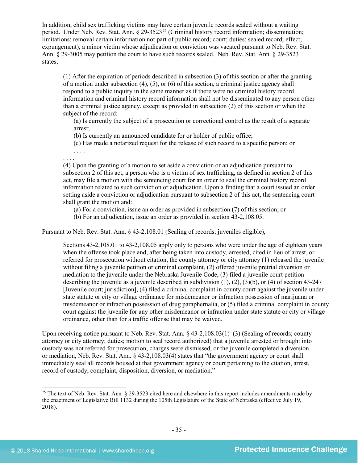In addition, child sex trafficking victims may have certain juvenile records sealed without a waiting period. Under Neb. Rev. Stat. Ann.  $\S 29-3523^{75}$  $\S 29-3523^{75}$  $\S 29-3523^{75}$  (Criminal history record information; dissemination; limitations; removal certain information not part of public record; court; duties; sealed record; effect; expungement), a minor victim whose adjudication or conviction was vacated pursuant to Neb. Rev. Stat. Ann. § 29-3005 may petition the court to have such records sealed. Neb. Rev. Stat. Ann. § 29-3523 states,

(1) After the expiration of periods described in subsection (3) of this section or after the granting of a motion under subsection (4), (5), or (6) of this section, a criminal justice agency shall respond to a public inquiry in the same manner as if there were no criminal history record information and criminal history record information shall not be disseminated to any person other than a criminal justice agency, except as provided in subsection (2) of this section or when the subject of the record:

(a) Is currently the subject of a prosecution or correctional control as the result of a separate arrest;

(b) Is currently an announced candidate for or holder of public office;

(c) Has made a notarized request for the release of such record to a specific person; or

. . . . . . . .

(4) Upon the granting of a motion to set aside a conviction or an adjudication pursuant to subsection 2 of this act, a person who is a victim of sex trafficking, as defined in section 2 of this act, may file a motion with the sentencing court for an order to seal the criminal history record information related to such conviction or adjudication. Upon a finding that a court issued an order setting aside a conviction or adjudication pursuant to subsection 2 of this act, the sentencing court shall grant the motion and:

- (a) For a conviction, issue an order as provided in subsection (7) of this section; or
- (b) For an adjudication, issue an order as provided in section 43-2,108.05.

Pursuant to Neb. Rev. Stat. Ann. § 43-2,108.01 (Sealing of records; juveniles eligible),

Sections 43-2,108.01 to 43-2,108.05 apply only to persons who were under the age of eighteen years when the offense took place and, after being taken into custody, arrested, cited in lieu of arrest, or referred for prosecution without citation, the county attorney or city attorney (1) released the juvenile without filing a juvenile petition or criminal complaint, (2) offered juvenile pretrial diversion or mediation to the juvenile under the Nebraska Juvenile Code, (3) filed a juvenile court petition describing the juvenile as a juvenile described in subdivision (1), (2), (3)(b), or (4) of section 43-247 [Juvenile court; jurisdiction], (4) filed a criminal complaint in county court against the juvenile under state statute or city or village ordinance for misdemeanor or infraction possession of marijuana or misdemeanor or infraction possession of drug paraphernalia, or (5) filed a criminal complaint in county court against the juvenile for any other misdemeanor or infraction under state statute or city or village ordinance, other than for a traffic offense that may be waived.

Upon receiving notice pursuant to Neb. Rev. Stat. Ann. § 43-2,108.03(1)–(3) (Sealing of records; county attorney or city attorney; duties; motion to seal record authorized) that a juvenile arrested or brought into custody was not referred for prosecution, charges were dismissed, or the juvenile completed a diversion or mediation, Neb. Rev. Stat. Ann. § 43-2,108.03(4) states that "the government agency or court shall immediately seal all records housed at that government agency or court pertaining to the citation, arrest, record of custody, complaint, disposition, diversion, or mediation."

<span id="page-34-0"></span><sup>&</sup>lt;sup>75</sup> The text of Neb. Rev. Stat. Ann. § 29-3523 cited here and elsewhere in this report includes amendments made by the enactment of Legislative Bill 1132 during the 105th Legislature of the State of Nebraska (effective July 19, 2018).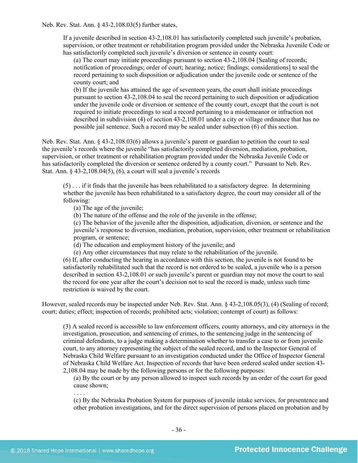Neb. Rev. Stat. Ann. § 43-2,108.03(5) further states,

If a juvenile described in section 43-2,108.01 has satisfactorily completed such juvenile's probation, supervision, or other treatment or rehabilitation program provided under the Nebraska Juvenile Code or has satisfactorily completed such juvenile's diversion or sentence in county court:

(a) The court may initiate proceedings pursuant to section 43-2,108.04 [Sealing of records; notification of proceedings; order of court; hearing; notice; findings; considerations] to seal the record pertaining to such disposition or adjudication under the juvenile code or sentence of the county court; and

(b) If the juvenile has attained the age of seventeen years, the court shall initiate proceedings pursuant to section 43-2,108.04 to seal the record pertaining to such disposition or adjudication under the juvenile code or diversion or sentence of the county court, except that the court is not required to initiate proceedings to seal a record pertaining to a misdemeanor or infraction not described in subdivision (4) of section 43-2,108.01 under a city or village ordinance that has no possible jail sentence. Such a record may be sealed under subsection (6) of this section.

Neb. Rev. Stat. Ann. § 43-2,108.03(6) allows a juvenile's parent or guardian to petition the court to seal the juvenile's records where the juvenile "has satisfactorily completed diversion, mediation, probation, supervision, or other treatment or rehabilitation program provided under the Nebraska Juvenile Code or has satisfactorily completed the diversion or sentence ordered by a county court." Pursuant to Neb. Rev. Stat. Ann. § 43-2,108.04(5), (6), a court will seal a juvenile's records

(5) . . . if it finds that the juvenile has been rehabilitated to a satisfactory degree. In determining whether the juvenile has been rehabilitated to a satisfactory degree, the court may consider all of the following:

(a) The age of the juvenile;

(b) The nature of the offense and the role of the juvenile in the offense;

(c) The behavior of the juvenile after the disposition, adjudication, diversion, or sentence and the juvenile's response to diversion, mediation, probation, supervision, other treatment or rehabilitation program, or sentence;

(d) The education and employment history of the juvenile; and

(e) Any other circumstances that may relate to the rehabilitation of the juvenile.

(6) If, after conducting the hearing in accordance with this section, the juvenile is not found to be satisfactorily rehabilitated such that the record is not ordered to be sealed, a juvenile who is a person described in section 43-2,108.01 or such juvenile's parent or guardian may not move the court to seal the record for one year after the court's decision not to seal the record is made, unless such time restriction is waived by the court.

However, sealed records may be inspected under Neb. Rev. Stat. Ann. § 43-2,108.05(3), (4) (Sealing of record; court; duties; effect; inspection of records; prohibited acts; violation; contempt of court) as follows:

(3) A sealed record is accessible to law enforcement officers, county attorneys, and city attorneys in the investigation, prosecution, and sentencing of crimes, to the sentencing judge in the sentencing of criminal defendants, to a judge making a determination whether to transfer a case to or from juvenile court, to any attorney representing the subject of the sealed record, and to the Inspector General of Nebraska Child Welfare pursuant to an investigation conducted under the Office of Inspector General of Nebraska Child Welfare Act. Inspection of records that have been ordered sealed under section 43- 2,108.04 may be made by the following persons or for the following purposes:

(a) By the court or by any person allowed to inspect such records by an order of the court for good cause shown;

(c) By the Nebraska Probation System for purposes of juvenile intake services, for presentence and other probation investigations, and for the direct supervision of persons placed on probation and by

. . . .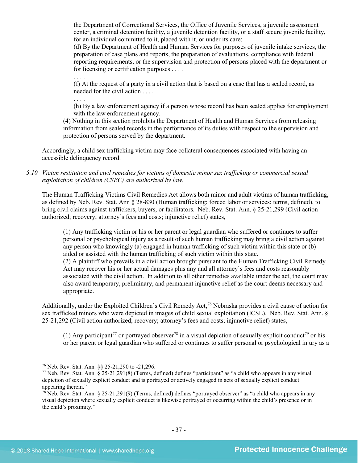the Department of Correctional Services, the Office of Juvenile Services, a juvenile assessment center, a criminal detention facility, a juvenile detention facility, or a staff secure juvenile facility, for an individual committed to it, placed with it, or under its care;

(d) By the Department of Health and Human Services for purposes of juvenile intake services, the preparation of case plans and reports, the preparation of evaluations, compliance with federal reporting requirements, or the supervision and protection of persons placed with the department or for licensing or certification purposes . . . .

. . . .

(f) At the request of a party in a civil action that is based on a case that has a sealed record, as needed for the civil action . . . .

. . . .

(h) By a law enforcement agency if a person whose record has been sealed applies for employment with the law enforcement agency.

(4) Nothing in this section prohibits the Department of Health and Human Services from releasing information from sealed records in the performance of its duties with respect to the supervision and protection of persons served by the department.

Accordingly, a child sex trafficking victim may face collateral consequences associated with having an accessible delinquency record.

*5.10 Victim restitution and civil remedies for victims of domestic minor sex trafficking or commercial sexual exploitation of children (CSEC) are authorized by law.* 

The Human Trafficking Victims Civil Remedies Act allows both minor and adult victims of human trafficking, as defined by Neb. Rev. Stat. Ann § 28-830 (Human trafficking; forced labor or services; terms, defined), to bring civil claims against traffickers, buyers, or facilitators. Neb. Rev. Stat. Ann. § 25-21,299 (Civil action authorized; recovery; attorney's fees and costs; injunctive relief) states,

(1) Any trafficking victim or his or her parent or legal guardian who suffered or continues to suffer personal or psychological injury as a result of such human trafficking may bring a civil action against any person who knowingly (a) engaged in human trafficking of such victim within this state or (b) aided or assisted with the human trafficking of such victim within this state. (2) A plaintiff who prevails in a civil action brought pursuant to the Human Trafficking Civil Remedy Act may recover his or her actual damages plus any and all attorney's fees and costs reasonably associated with the civil action. In addition to all other remedies available under the act, the court may also award temporary, preliminary, and permanent injunctive relief as the court deems necessary and appropriate.

<span id="page-36-3"></span>Additionally, under the Exploited Children's Civil Remedy Act,<sup>[76](#page-36-0)</sup> Nebraska provides a civil cause of action for sex trafficked minors who were depicted in images of child sexual exploitation (ICSE). Neb. Rev. Stat. Ann. § 25-21,292 (Civil action authorized; recovery; attorney's fees and costs; injunctive relief) states,

(1) Any participant<sup>[77](#page-36-1)</sup> or portrayed observer<sup>[78](#page-36-2)</sup> in a visual depiction of sexually explicit conduct<sup>[79](#page-36-3)</sup> or his or her parent or legal guardian who suffered or continues to suffer personal or psychological injury as a

<span id="page-36-1"></span><span id="page-36-0"></span><sup>&</sup>lt;sup>76</sup> Neb. Rev. Stat. Ann. §§ 25-21,290 to -21,296.<br><sup>77</sup> Neb. Rev. Stat. Ann. § 25-21,291(8) (Terms, defined) defines "participant" as "a child who appears in any visual depiction of sexually explicit conduct and is portrayed or actively engaged in acts of sexually explicit conduct appearing therein."

<span id="page-36-2"></span> $78$  Neb. Rev. Stat. Ann. § 25-21,291(9) (Terms, defined) defines "portrayed observer" as "a child who appears in any visual depiction where sexually explicit conduct is likewise portrayed or occurring within the child's presence or in the child's proximity."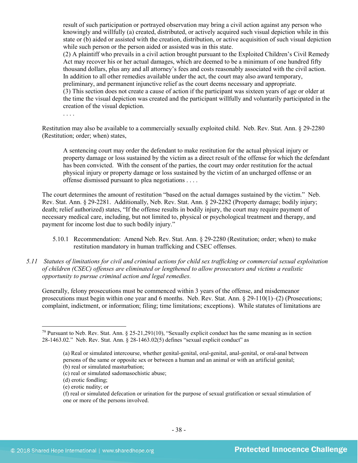result of such participation or portrayed observation may bring a civil action against any person who knowingly and willfully (a) created, distributed, or actively acquired such visual depiction while in this state or (b) aided or assisted with the creation, distribution, or active acquisition of such visual depiction while such person or the person aided or assisted was in this state.

(2) A plaintiff who prevails in a civil action brought pursuant to the Exploited Children's Civil Remedy Act may recover his or her actual damages, which are deemed to be a minimum of one hundred fifty thousand dollars, plus any and all attorney's fees and costs reasonably associated with the civil action. In addition to all other remedies available under the act, the court may also award temporary, preliminary, and permanent injunctive relief as the court deems necessary and appropriate. (3) This section does not create a cause of action if the participant was sixteen years of age or older at the time the visual depiction was created and the participant willfully and voluntarily participated in the creation of the visual depiction.

. . . .

Restitution may also be available to a commercially sexually exploited child. Neb. Rev. Stat. Ann. § 29-2280 (Restitution; order; when) states,

A sentencing court may order the defendant to make restitution for the actual physical injury or property damage or loss sustained by the victim as a direct result of the offense for which the defendant has been convicted. With the consent of the parties, the court may order restitution for the actual physical injury or property damage or loss sustained by the victim of an uncharged offense or an offense dismissed pursuant to plea negotiations . . . .

The court determines the amount of restitution "based on the actual damages sustained by the victim." Neb. Rev. Stat. Ann. § 29-2281. Additionally, Neb. Rev. Stat. Ann. § 29-2282 (Property damage; bodily injury; death; relief authorized) states, "If the offense results in bodily injury, the court may require payment of necessary medical care, including, but not limited to, physical or psychological treatment and therapy, and payment for income lost due to such bodily injury."

- 5.10.1 Recommendation: Amend Neb. Rev. Stat. Ann. § 29-2280 (Restitution; order; when) to make restitution mandatory in human trafficking and CSEC offenses.
- *5.11 Statutes of limitations for civil and criminal actions for child sex trafficking or commercial sexual exploitation of children (CSEC) offenses are eliminated or lengthened to allow prosecutors and victims a realistic opportunity to pursue criminal action and legal remedies.*

Generally, felony prosecutions must be commenced within 3 years of the offense, and misdemeanor prosecutions must begin within one year and 6 months. Neb. Rev. Stat. Ann. § 29-110(1)–(2) (Prosecutions; complaint, indictment, or information; filing; time limitations; exceptions). While statutes of limitations are

 $\overline{\phantom{a}}$ 

(e) erotic nudity; or

 $79$  Pursuant to Neb. Rev. Stat. Ann. § 25-21,291(10), "Sexually explicit conduct has the same meaning as in section 28-1463.02." Neb. Rev. Stat. Ann. § 28-1463.02(5) defines "sexual explicit conduct" as

<sup>(</sup>a) Real or simulated intercourse, whether genital-genital, oral-genital, anal-genital, or oral-anal between persons of the same or opposite sex or between a human and an animal or with an artificial genital; (b) real or simulated masturbation;

<sup>(</sup>c) real or simulated sadomasochistic abuse;

<sup>(</sup>d) erotic fondling;

<sup>(</sup>f) real or simulated defecation or urination for the purpose of sexual gratification or sexual stimulation of one or more of the persons involved.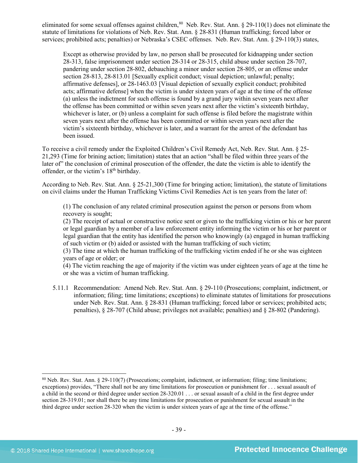eliminated for some sexual offenses against children,<sup>[80](#page-38-0)</sup> Neb. Rev. Stat. Ann. § 29-110(1) does not eliminate the statute of limitations for violations of Neb. Rev. Stat. Ann. § 28-831 (Human trafficking; forced labor or services; prohibited acts; penalties) or Nebraska's CSEC offenses. Neb. Rev. Stat. Ann. § 29-110(3) states,

Except as otherwise provided by law, no person shall be prosecuted for kidnapping under section 28-313, false imprisonment under section 28-314 or 28-315, child abuse under section 28-707, pandering under section 28-802, debauching a minor under section 28-805, or an offense under section 28-813, 28-813.01 [Sexually explicit conduct; visual depiction; unlawful; penalty; affirmative defenses], or 28-1463.03 [Visual depiction of sexually explicit conduct; prohibited acts; affirmative defense] when the victim is under sixteen years of age at the time of the offense (a) unless the indictment for such offense is found by a grand jury within seven years next after the offense has been committed or within seven years next after the victim's sixteenth birthday, whichever is later, or (b) unless a complaint for such offense is filed before the magistrate within seven years next after the offense has been committed or within seven years next after the victim's sixteenth birthday, whichever is later, and a warrant for the arrest of the defendant has been issued.

To receive a civil remedy under the Exploited Children's Civil Remedy Act, Neb. Rev. Stat. Ann. § 25- 21,293 (Time for brining action; limitation) states that an action "shall be filed within three years of the later of" the conclusion of criminal prosecution of the offender, the date the victim is able to identify the offender, or the victim's 18th birthday.

According to Neb. Rev. Stat. Ann. § 25-21,300 (Time for bringing action; limitation), the statute of limitations on civil claims under the Human Trafficking Victims Civil Remedies Act is ten years from the later of:

(1) The conclusion of any related criminal prosecution against the person or persons from whom recovery is sought;

(2) The receipt of actual or constructive notice sent or given to the trafficking victim or his or her parent or legal guardian by a member of a law enforcement entity informing the victim or his or her parent or legal guardian that the entity has identified the person who knowingly (a) engaged in human trafficking of such victim or (b) aided or assisted with the human trafficking of such victim;

(3) The time at which the human trafficking of the trafficking victim ended if he or she was eighteen years of age or older; or

(4) The victim reaching the age of majority if the victim was under eighteen years of age at the time he or she was a victim of human trafficking.

5.11.1 Recommendation: Amend Neb. Rev. Stat. Ann. § 29-110 (Prosecutions; complaint, indictment, or information; filing; time limitations; exceptions) to eliminate statutes of limitations for prosecutions under Neb. Rev. Stat. Ann. § 28-831 (Human trafficking; forced labor or services; prohibited acts; penalties), § 28-707 (Child abuse; privileges not available; penalties) and § 28-802 (Pandering).

<span id="page-38-0"></span><sup>80</sup> Neb. Rev. Stat. Ann. § 29-110(7) (Prosecutions; complaint, indictment, or information; filing; time limitations; exceptions) provides, "There shall not be any time limitations for prosecution or punishment for . . . sexual assault of a child in the second or third degree under section 28-320.01 . . . or sexual assault of a child in the first degree under section 28-319.01; nor shall there be any time limitations for prosecution or punishment for sexual assault in the third degree under section 28-320 when the victim is under sixteen years of age at the time of the offense."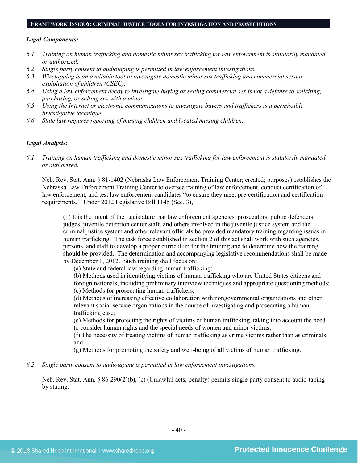#### **FRAMEWORK ISSUE 6: CRIMINAL JUSTICE TOOLS FOR INVESTIGATION AND PROSECUTIONS**

#### *Legal Components:*

- *6.1 Training on human trafficking and domestic minor sex trafficking for law enforcement is statutorily mandated or authorized.*
- *6.2 Single party consent to audiotaping is permitted in law enforcement investigations.*
- *6.3 Wiretapping is an available tool to investigate domestic minor sex trafficking and commercial sexual exploitation of children (CSEC).*
- *6.4 Using a law enforcement decoy to investigate buying or selling commercial sex is not a defense to soliciting, purchasing, or selling sex with a minor.*
- *6.5 Using the Internet or electronic communications to investigate buyers and traffickers is a permissible investigative technique.*
- *6.6 State law requires reporting of missing children and located missing children.*

#### *Legal Analysis:*

*6.1 Training on human trafficking and domestic minor sex trafficking for law enforcement is statutorily mandated or authorized.*

*\_\_\_\_\_\_\_\_\_\_\_\_\_\_\_\_\_\_\_\_\_\_\_\_\_\_\_\_\_\_\_\_\_\_\_\_\_\_\_\_\_\_\_\_\_\_\_\_\_\_\_\_\_\_\_\_\_\_\_\_\_\_\_\_\_\_\_\_\_\_\_\_\_\_\_\_\_\_\_\_\_\_\_\_\_\_\_\_\_\_\_\_\_\_*

Neb. Rev. Stat. Ann. § 81-1402 (Nebraska Law Enforcement Training Center; created; purposes) establishes the Nebraska Law Enforcement Training Center to oversee training of law enforcement, conduct certification of law enforcement, and test law enforcement candidates "to ensure they meet pre-certification and certification requirements." Under 2012 Legislative Bill 1145 (Sec. 3),

(1) It is the intent of the Legislature that law enforcement agencies, prosecutors, public defenders, judges, juvenile detention center staff, and others involved in the juvenile justice system and the criminal justice system and other relevant officials be provided mandatory training regarding issues in human trafficking. The task force established in section 2 of this act shall work with such agencies, persons, and staff to develop a proper curriculum for the training and to determine how the training should be provided. The determination and accompanying legislative recommendations shall be made by December 1, 2012. Such training shall focus on:

(a) State and federal law regarding human trafficking;

(b) Methods used in identifying victims of human trafficking who are United States citizens and foreign nationals, including preliminary interview techniques and appropriate questioning methods; (c) Methods for prosecuting human traffickers;

(d) Methods of increasing effective collaboration with nongovernmental organizations and other relevant social service organizations in the course of investigating and prosecuting a human trafficking case;

(e) Methods for protecting the rights of victims of human trafficking, taking into account the need to consider human rights and the special needs of women and minor victims;

(f) The necessity of treating victims of human trafficking as crime victims rather than as criminals; and

(g) Methods for promoting the safety and well-being of all victims of human trafficking.

*6.2 Single party consent to audiotaping is permitted in law enforcement investigations.*

Neb. Rev. Stat. Ann. § 86-290(2)(b), (c) (Unlawful acts; penalty) permits single-party consent to audio-taping by stating,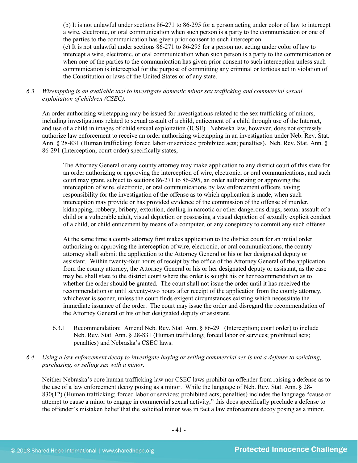(b) It is not unlawful under sections 86-271 to 86-295 for a person acting under color of law to intercept a wire, electronic, or oral communication when such person is a party to the communication or one of the parties to the communication has given prior consent to such interception.

(c) It is not unlawful under sections 86-271 to 86-295 for a person not acting under color of law to intercept a wire, electronic, or oral communication when such person is a party to the communication or when one of the parties to the communication has given prior consent to such interception unless such communication is intercepted for the purpose of committing any criminal or tortious act in violation of the Constitution or laws of the United States or of any state.

*6.3 Wiretapping is an available tool to investigate domestic minor sex trafficking and commercial sexual exploitation of children (CSEC).* 

An order authorizing wiretapping may be issued for investigations related to the sex trafficking of minors, including investigations related to sexual assault of a child, enticement of a child through use of the Internet, and use of a child in images of child sexual exploitation (ICSE). Nebraska law, however, does not expressly authorize law enforcement to receive an order authorizing wiretapping in an investigation under Neb. Rev. Stat. Ann. § 28-831 (Human trafficking; forced labor or services; prohibited acts; penalties). Neb. Rev. Stat. Ann. § 86-291 (Interception; court order) specifically states,

The Attorney General or any county attorney may make application to any district court of this state for an order authorizing or approving the interception of wire, electronic, or oral communications, and such court may grant, subject to sections 86-271 to 86-295, an order authorizing or approving the interception of wire, electronic, or oral communications by law enforcement officers having responsibility for the investigation of the offense as to which application is made, when such interception may provide or has provided evidence of the commission of the offense of murder, kidnapping, robbery, bribery, extortion, dealing in narcotic or other dangerous drugs, sexual assault of a child or a vulnerable adult, visual depiction or possessing a visual depiction of sexually explicit conduct of a child, or child enticement by means of a computer, or any conspiracy to commit any such offense.

At the same time a county attorney first makes application to the district court for an initial order authorizing or approving the interception of wire, electronic, or oral communications, the county attorney shall submit the application to the Attorney General or his or her designated deputy or assistant. Within twenty-four hours of receipt by the office of the Attorney General of the application from the county attorney, the Attorney General or his or her designated deputy or assistant, as the case may be, shall state to the district court where the order is sought his or her recommendation as to whether the order should be granted. The court shall not issue the order until it has received the recommendation or until seventy-two hours after receipt of the application from the county attorney, whichever is sooner, unless the court finds exigent circumstances existing which necessitate the immediate issuance of the order. The court may issue the order and disregard the recommendation of the Attorney General or his or her designated deputy or assistant.

6.3.1 Recommendation: Amend Neb. Rev. Stat. Ann. § 86-291 (Interception; court order) to include Neb. Rev. Stat. Ann. § 28-831 (Human trafficking; forced labor or services; prohibited acts; penalties) and Nebraska's CSEC laws.

# *6.4 Using a law enforcement decoy to investigate buying or selling commercial sex is not a defense to soliciting, purchasing, or selling sex with a minor.*

Neither Nebraska's core human trafficking law nor CSEC laws prohibit an offender from raising a defense as to the use of a law enforcement decoy posing as a minor. While the language of Neb. Rev. Stat. Ann. § 28- 830(12) (Human trafficking; forced labor or services; prohibited acts; penalties) includes the language "cause or attempt to cause a minor to engage in commercial sexual activity," this does specifically preclude a defense to the offender's mistaken belief that the solicited minor was in fact a law enforcement decoy posing as a minor.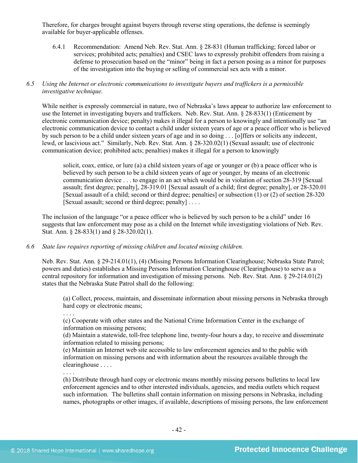Therefore, for charges brought against buyers through reverse sting operations, the defense is seemingly available for buyer-applicable offenses.

6.4.1 Recommendation: Amend Neb. Rev. Stat. Ann. § 28-831 (Human trafficking; forced labor or services; prohibited acts; penalties) and CSEC laws to expressly prohibit offenders from raising a defense to prosecution based on the "minor" being in fact a person posing as a minor for purposes of the investigation into the buying or selling of commercial sex acts with a minor.

# *6.5 Using the Internet or electronic communications to investigate buyers and traffickers is a permissible investigative technique.*

While neither is expressly commercial in nature, two of Nebraska's laws appear to authorize law enforcement to use the Internet in investigating buyers and traffickers. Neb. Rev. Stat. Ann. § 28-833(1) (Enticement by electronic communication device; penalty) makes it illegal for a person to knowingly and intentionally use "an electronic communication device to contact a child under sixteen years of age or a peace officer who is believed by such person to be a child under sixteen years of age and in so doing . . . [o]ffers or solicits any indecent, lewd, or lascivious act." Similarly, Neb. Rev. Stat. Ann. § 28-320.02(1) (Sexual assault; use of electronic communication device; prohibited acts; penalties) makes it illegal for a person to knowingly

solicit, coax, entice, or lure (a) a child sixteen years of age or younger or (b) a peace officer who is believed by such person to be a child sixteen years of age or younger, by means of an electronic communication device . . . to engage in an act which would be in violation of section [28-319](http://nebraskalegislature.gov/laws/statutes.php?statute=28-319) [Sexual assault; first degree; penalty], [28-319.01](http://nebraskalegislature.gov/laws/statutes.php?statute=28-319.01) [Sexual assault of a child; first degree; penalty], or [28-320.01](http://nebraskalegislature.gov/laws/statutes.php?statute=28-320.01) [Sexual assault of a child; second or third degree; penalties] or subsection (1) or (2) of sectio[n 28-320](http://nebraskalegislature.gov/laws/statutes.php?statute=28-320) [Sexual assault; second or third degree; penalty] . . . .

The inclusion of the language "or a peace officer who is believed by such person to be a child" under 16 suggests that law enforcement may pose as a child on the Internet while investigating violations of Neb. Rev. Stat. Ann. § 28-833(1) and § 28-320.02(1).

## *6.6 State law requires reporting of missing children and located missing children.*

Neb. Rev. Stat. Ann. § 29-214.01(1), (4) (Missing Persons Information Clearinghouse; Nebraska State Patrol; powers and duties) establishes a Missing Persons Information Clearinghouse (Clearinghouse) to serve as a central repository for information and investigation of missing persons. Neb. Rev. Stat. Ann. § 29-214.01(2) states that the Nebraska State Patrol shall do the following:

(a) Collect, process, maintain, and disseminate information about missing persons in Nebraska through hard copy or electronic means;

. . . .

. . . .

(c) Cooperate with other states and the National Crime Information Center in the exchange of information on missing persons;

(d) Maintain a statewide, toll-free telephone line, twenty-four hours a day, to receive and disseminate information related to missing persons;

(e) Maintain an Internet web site accessible to law enforcement agencies and to the public with information on missing persons and with information about the resources available through the clearinghouse . . . .

(h) Distribute through hard copy or electronic means monthly missing persons bulletins to local law enforcement agencies and to other interested individuals, agencies, and media outlets which request such information. The bulletins shall contain information on missing persons in Nebraska, including names, photographs or other images, if available, descriptions of missing persons, the law enforcement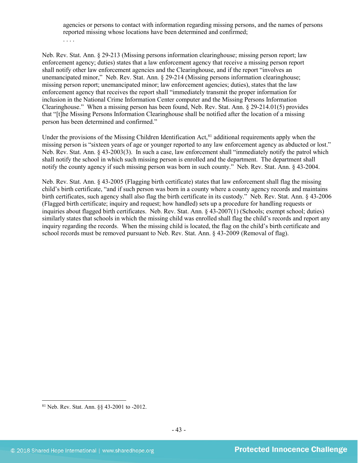agencies or persons to contact with information regarding missing persons, and the names of persons reported missing whose locations have been determined and confirmed;

. . . .

Neb. Rev. Stat. Ann. § 29-213 (Missing persons information clearinghouse; missing person report; law enforcement agency; duties) states that a law enforcement agency that receive a missing person report shall notify other law enforcement agencies and the Clearinghouse, and if the report "involves an unemancipated minor," Neb. Rev. Stat. Ann. § 29-214 (Missing persons information clearinghouse; missing person report; unemancipated minor; law enforcement agencies; duties), states that the law enforcement agency that receives the report shall "immediately transmit the proper information for inclusion in the National Crime Information Center computer and the Missing Persons Information Clearinghouse." When a missing person has been found, Neb. Rev. Stat. Ann. § 29-214.01(5) provides that "[t]he Missing Persons Information Clearinghouse shall be notified after the location of a missing person has been determined and confirmed."

Under the provisions of the Missing Children Identification Act,<sup>[81](#page-42-0)</sup> additional requirements apply when the missing person is "sixteen years of age or younger reported to any law enforcement agency as abducted or lost." Neb. Rev. Stat. Ann. § 43-2003(3). In such a case, law enforcement shall "immediately notify the patrol which shall notify the school in which such missing person is enrolled and the department. The department shall notify the county agency if such missing person was born in such county." Neb. Rev. Stat. Ann. § 43-2004.

Neb. Rev. Stat. Ann. § 43-2005 (Flagging birth certificate) states that law enforcement shall flag the missing child's birth certificate, "and if such person was born in a county where a county agency records and maintains birth certificates, such agency shall also flag the birth certificate in its custody." Neb. Rev. Stat. Ann. § 43-2006 (Flagged birth certificate; inquiry and request; how handled) sets up a procedure for handling requests or inquiries about flagged birth certificates. Neb. Rev. Stat. Ann. § 43-2007(1) (Schools; exempt school; duties) similarly states that schools in which the missing child was enrolled shall flag the child's records and report any inquiry regarding the records. When the missing child is located, the flag on the child's birth certificate and school records must be removed pursuant to Neb. Rev. Stat. Ann. § 43-2009 (Removal of flag).

<span id="page-42-0"></span><sup>81</sup> Neb. Rev. Stat. Ann. §§ 43-2001 to -2012.